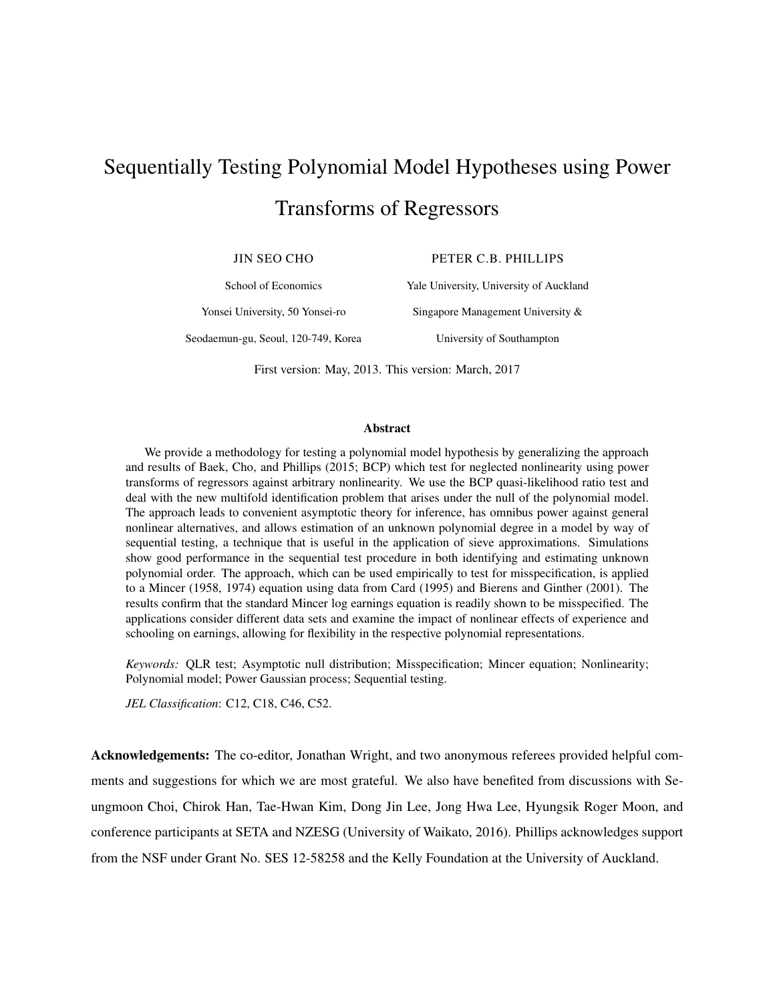# Sequentially Testing Polynomial Model Hypotheses using Power Transforms of Regressors

JIN SEO CHO

PETER C.B. PHILLIPS

School of Economics

Yonsei University, 50 Yonsei-ro

Seodaemun-gu, Seoul, 120-749, Korea

Yale University, University of Auckland Singapore Management University & University of Southampton

First version: May, 2013. This version: March, 2017

#### Abstract

We provide a methodology for testing a polynomial model hypothesis by generalizing the approach and results of Baek, Cho, and Phillips (2015; BCP) which test for neglected nonlinearity using power transforms of regressors against arbitrary nonlinearity. We use the BCP quasi-likelihood ratio test and deal with the new multifold identification problem that arises under the null of the polynomial model. The approach leads to convenient asymptotic theory for inference, has omnibus power against general nonlinear alternatives, and allows estimation of an unknown polynomial degree in a model by way of sequential testing, a technique that is useful in the application of sieve approximations. Simulations show good performance in the sequential test procedure in both identifying and estimating unknown polynomial order. The approach, which can be used empirically to test for misspecification, is applied to a Mincer (1958, 1974) equation using data from Card (1995) and Bierens and Ginther (2001). The results confirm that the standard Mincer log earnings equation is readily shown to be misspecified. The applications consider different data sets and examine the impact of nonlinear effects of experience and schooling on earnings, allowing for flexibility in the respective polynomial representations.

*Keywords:* QLR test; Asymptotic null distribution; Misspecification; Mincer equation; Nonlinearity; Polynomial model; Power Gaussian process; Sequential testing.

*JEL Classification*: C12, C18, C46, C52.

Acknowledgements: The co-editor, Jonathan Wright, and two anonymous referees provided helpful comments and suggestions for which we are most grateful. We also have benefited from discussions with Seungmoon Choi, Chirok Han, Tae-Hwan Kim, Dong Jin Lee, Jong Hwa Lee, Hyungsik Roger Moon, and conference participants at SETA and NZESG (University of Waikato, 2016). Phillips acknowledges support from the NSF under Grant No. SES 12-58258 and the Kelly Foundation at the University of Auckland.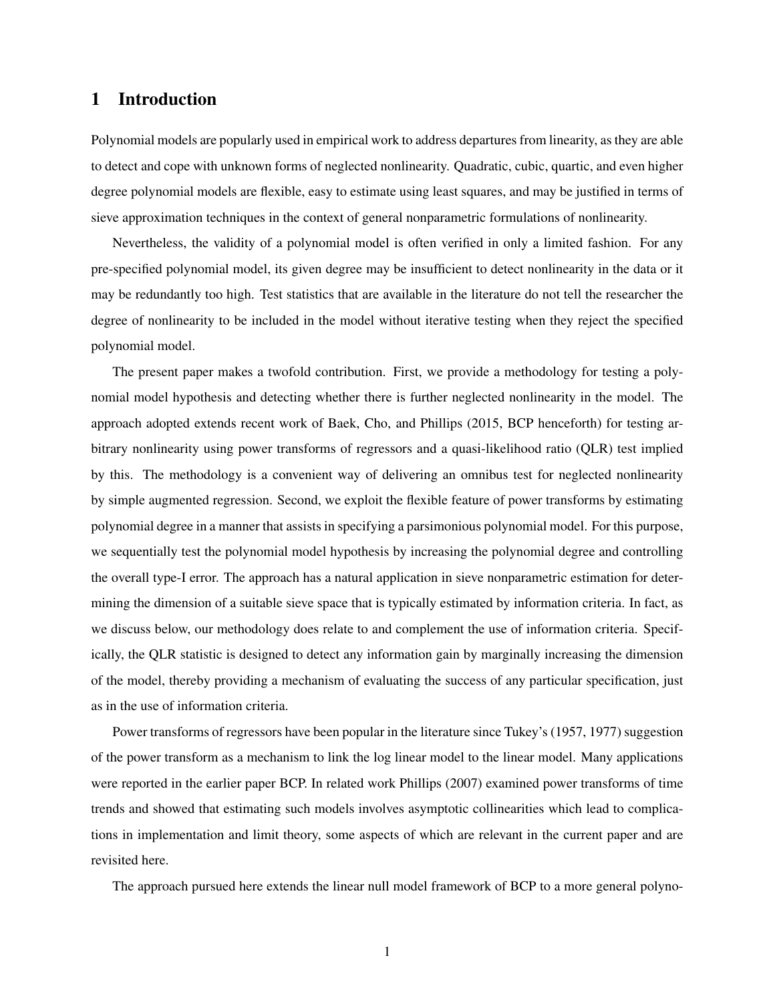## 1 Introduction

Polynomial models are popularly used in empirical work to address departures from linearity, as they are able to detect and cope with unknown forms of neglected nonlinearity. Quadratic, cubic, quartic, and even higher degree polynomial models are flexible, easy to estimate using least squares, and may be justified in terms of sieve approximation techniques in the context of general nonparametric formulations of nonlinearity.

Nevertheless, the validity of a polynomial model is often verified in only a limited fashion. For any pre-specified polynomial model, its given degree may be insufficient to detect nonlinearity in the data or it may be redundantly too high. Test statistics that are available in the literature do not tell the researcher the degree of nonlinearity to be included in the model without iterative testing when they reject the specified polynomial model.

The present paper makes a twofold contribution. First, we provide a methodology for testing a polynomial model hypothesis and detecting whether there is further neglected nonlinearity in the model. The approach adopted extends recent work of Baek, Cho, and Phillips (2015, BCP henceforth) for testing arbitrary nonlinearity using power transforms of regressors and a quasi-likelihood ratio (QLR) test implied by this. The methodology is a convenient way of delivering an omnibus test for neglected nonlinearity by simple augmented regression. Second, we exploit the flexible feature of power transforms by estimating polynomial degree in a manner that assists in specifying a parsimonious polynomial model. For this purpose, we sequentially test the polynomial model hypothesis by increasing the polynomial degree and controlling the overall type-I error. The approach has a natural application in sieve nonparametric estimation for determining the dimension of a suitable sieve space that is typically estimated by information criteria. In fact, as we discuss below, our methodology does relate to and complement the use of information criteria. Specifically, the QLR statistic is designed to detect any information gain by marginally increasing the dimension of the model, thereby providing a mechanism of evaluating the success of any particular specification, just as in the use of information criteria.

Power transforms of regressors have been popular in the literature since Tukey's (1957, 1977) suggestion of the power transform as a mechanism to link the log linear model to the linear model. Many applications were reported in the earlier paper BCP. In related work Phillips (2007) examined power transforms of time trends and showed that estimating such models involves asymptotic collinearities which lead to complications in implementation and limit theory, some aspects of which are relevant in the current paper and are revisited here.

The approach pursued here extends the linear null model framework of BCP to a more general polyno-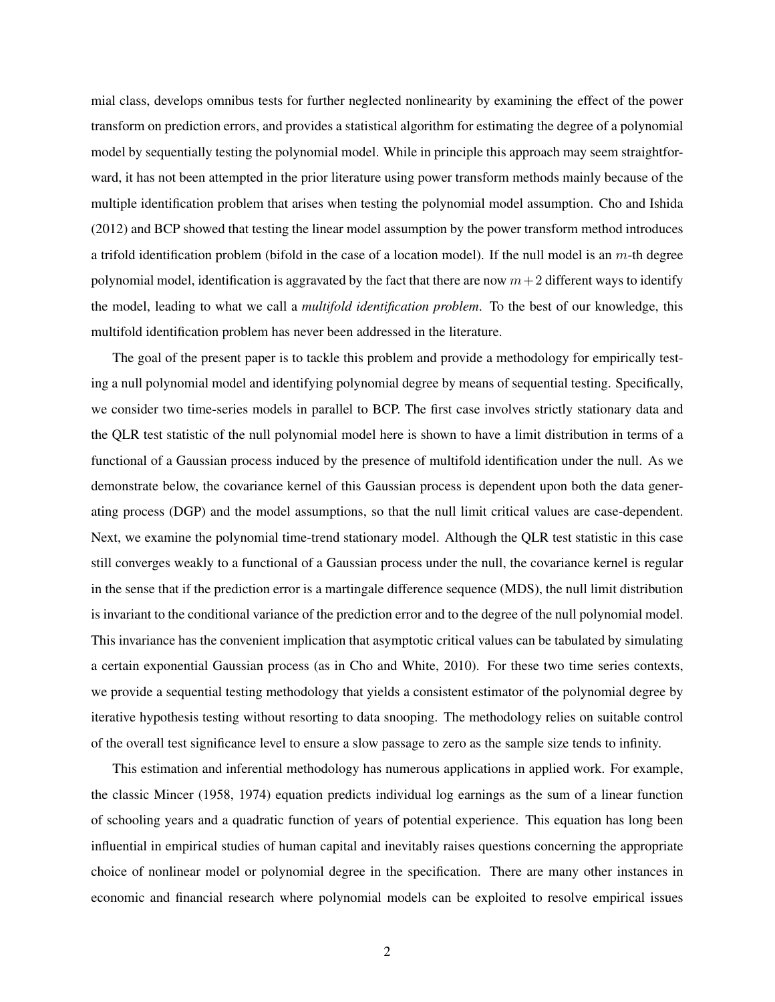mial class, develops omnibus tests for further neglected nonlinearity by examining the effect of the power transform on prediction errors, and provides a statistical algorithm for estimating the degree of a polynomial model by sequentially testing the polynomial model. While in principle this approach may seem straightforward, it has not been attempted in the prior literature using power transform methods mainly because of the multiple identification problem that arises when testing the polynomial model assumption. Cho and Ishida (2012) and BCP showed that testing the linear model assumption by the power transform method introduces a trifold identification problem (bifold in the case of a location model). If the null model is an  $m$ -th degree polynomial model, identification is aggravated by the fact that there are now  $m+2$  different ways to identify the model, leading to what we call a *multifold identification problem*. To the best of our knowledge, this multifold identification problem has never been addressed in the literature.

The goal of the present paper is to tackle this problem and provide a methodology for empirically testing a null polynomial model and identifying polynomial degree by means of sequential testing. Specifically, we consider two time-series models in parallel to BCP. The first case involves strictly stationary data and the QLR test statistic of the null polynomial model here is shown to have a limit distribution in terms of a functional of a Gaussian process induced by the presence of multifold identification under the null. As we demonstrate below, the covariance kernel of this Gaussian process is dependent upon both the data generating process (DGP) and the model assumptions, so that the null limit critical values are case-dependent. Next, we examine the polynomial time-trend stationary model. Although the QLR test statistic in this case still converges weakly to a functional of a Gaussian process under the null, the covariance kernel is regular in the sense that if the prediction error is a martingale difference sequence (MDS), the null limit distribution is invariant to the conditional variance of the prediction error and to the degree of the null polynomial model. This invariance has the convenient implication that asymptotic critical values can be tabulated by simulating a certain exponential Gaussian process (as in Cho and White, 2010). For these two time series contexts, we provide a sequential testing methodology that yields a consistent estimator of the polynomial degree by iterative hypothesis testing without resorting to data snooping. The methodology relies on suitable control of the overall test significance level to ensure a slow passage to zero as the sample size tends to infinity.

This estimation and inferential methodology has numerous applications in applied work. For example, the classic Mincer (1958, 1974) equation predicts individual log earnings as the sum of a linear function of schooling years and a quadratic function of years of potential experience. This equation has long been influential in empirical studies of human capital and inevitably raises questions concerning the appropriate choice of nonlinear model or polynomial degree in the specification. There are many other instances in economic and financial research where polynomial models can be exploited to resolve empirical issues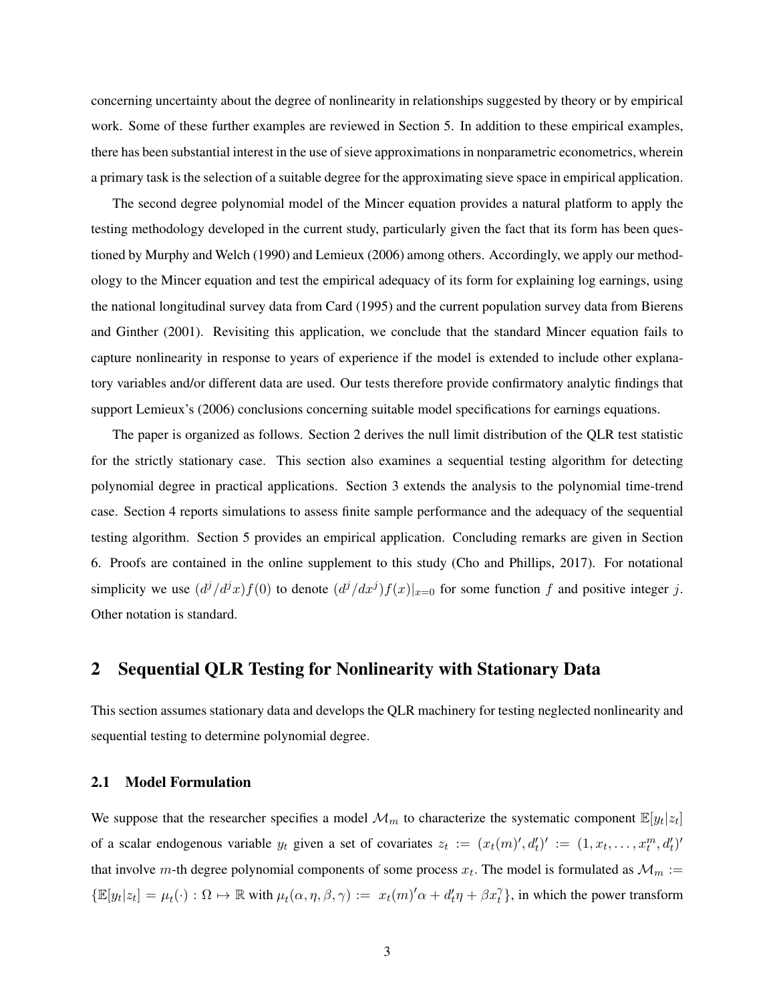concerning uncertainty about the degree of nonlinearity in relationships suggested by theory or by empirical work. Some of these further examples are reviewed in Section 5. In addition to these empirical examples, there has been substantial interest in the use of sieve approximations in nonparametric econometrics, wherein a primary task is the selection of a suitable degree for the approximating sieve space in empirical application.

The second degree polynomial model of the Mincer equation provides a natural platform to apply the testing methodology developed in the current study, particularly given the fact that its form has been questioned by Murphy and Welch (1990) and Lemieux (2006) among others. Accordingly, we apply our methodology to the Mincer equation and test the empirical adequacy of its form for explaining log earnings, using the national longitudinal survey data from Card (1995) and the current population survey data from Bierens and Ginther (2001). Revisiting this application, we conclude that the standard Mincer equation fails to capture nonlinearity in response to years of experience if the model is extended to include other explanatory variables and/or different data are used. Our tests therefore provide confirmatory analytic findings that support Lemieux's (2006) conclusions concerning suitable model specifications for earnings equations.

The paper is organized as follows. Section 2 derives the null limit distribution of the QLR test statistic for the strictly stationary case. This section also examines a sequential testing algorithm for detecting polynomial degree in practical applications. Section 3 extends the analysis to the polynomial time-trend case. Section 4 reports simulations to assess finite sample performance and the adequacy of the sequential testing algorithm. Section 5 provides an empirical application. Concluding remarks are given in Section 6. Proofs are contained in the online supplement to this study (Cho and Phillips, 2017). For notational simplicity we use  $(d^{j}/d^{j}x) f(0)$  to denote  $(d^{j}/dx^{j}) f(x)|_{x=0}$  for some function f and positive integer j. Other notation is standard.

# 2 Sequential QLR Testing for Nonlinearity with Stationary Data

This section assumes stationary data and develops the QLR machinery for testing neglected nonlinearity and sequential testing to determine polynomial degree.

### 2.1 Model Formulation

We suppose that the researcher specifies a model  $\mathcal{M}_m$  to characterize the systematic component  $\mathbb{E}[y_t|z_t]$ of a scalar endogenous variable  $y_t$  given a set of covariates  $z_t := (x_t(m)', d'_t)' := (1, x_t, \ldots, x_t^m, d'_t)'$ that involve m-th degree polynomial components of some process  $x_t$ . The model is formulated as  $\mathcal{M}_m :=$  $\{\mathbb{E}[y_t|z_t] = \mu_t(\cdot) : \Omega \mapsto \mathbb{R} \text{ with } \mu_t(\alpha, \eta, \beta, \gamma) := x_t(m)'\alpha + d'_t \eta + \beta x_t^{\gamma} \}, \text{ in which the power transform}$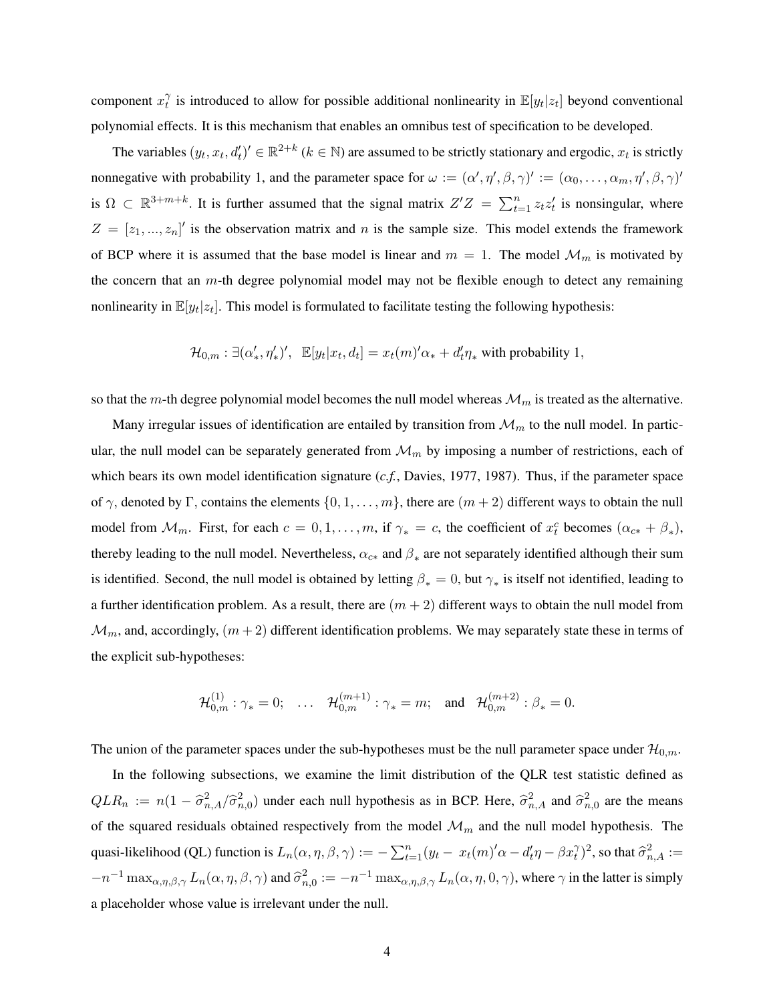component  $x_t^{\gamma}$  $\hat{t}$  is introduced to allow for possible additional nonlinearity in  $\mathbb{E}[y_t|z_t]$  beyond conventional polynomial effects. It is this mechanism that enables an omnibus test of specification to be developed.

The variables  $(y_t, x_t, d'_t)' \in \mathbb{R}^{2+k}$  ( $k \in \mathbb{N}$ ) are assumed to be strictly stationary and ergodic,  $x_t$  is strictly nonnegative with probability 1, and the parameter space for  $\omega := (\alpha', \eta', \beta, \gamma)':=(\alpha_0, \ldots, \alpha_m, \eta', \beta, \gamma)'$ is  $\Omega \subset \mathbb{R}^{3+m+k}$ . It is further assumed that the signal matrix  $Z'Z = \sum_{t=1}^{n} z_t z_t'$  is nonsingular, where  $Z = [z_1, ..., z_n]'$  is the observation matrix and n is the sample size. This model extends the framework of BCP where it is assumed that the base model is linear and  $m = 1$ . The model  $\mathcal{M}_m$  is motivated by the concern that an  $m$ -th degree polynomial model may not be flexible enough to detect any remaining nonlinearity in  $\mathbb{E}[y_t|z_t]$ . This model is formulated to facilitate testing the following hypothesis:

$$
\mathcal{H}_{0,m} : \exists (\alpha'_{*}, \eta'_{*})', \ \ \mathbb{E}[y_t | x_t, d_t] = x_t(m)'\alpha_{*} + d'_t \eta_{*} \text{ with probability } 1,
$$

so that the m-th degree polynomial model becomes the null model whereas  $\mathcal{M}_m$  is treated as the alternative.

Many irregular issues of identification are entailed by transition from  $\mathcal{M}_m$  to the null model. In particular, the null model can be separately generated from  $\mathcal{M}_m$  by imposing a number of restrictions, each of which bears its own model identification signature (*c.f.*, Davies, 1977, 1987). Thus, if the parameter space of  $\gamma$ , denoted by Γ, contains the elements  $\{0, 1, \ldots, m\}$ , there are  $(m + 2)$  different ways to obtain the null model from  $\mathcal{M}_m$ . First, for each  $c = 0, 1, \ldots, m$ , if  $\gamma_* = c$ , the coefficient of  $x_t^c$  becomes  $(\alpha_{c*} + \beta_*)$ , thereby leading to the null model. Nevertheless,  $\alpha_{c*}$  and  $\beta_*$  are not separately identified although their sum is identified. Second, the null model is obtained by letting  $\beta_* = 0$ , but  $\gamma_*$  is itself not identified, leading to a further identification problem. As a result, there are  $(m + 2)$  different ways to obtain the null model from  $\mathcal{M}_m$ , and, accordingly,  $(m+2)$  different identification problems. We may separately state these in terms of the explicit sub-hypotheses:

$$
\mathcal{H}^{(1)}_{0,m}: \gamma_* = 0; \quad \dots \quad \mathcal{H}^{(m+1)}_{0,m}: \gamma_* = m; \quad \text{and} \quad \mathcal{H}^{(m+2)}_{0,m}: \beta_* = 0.
$$

The union of the parameter spaces under the sub-hypotheses must be the null parameter space under  $\mathcal{H}_{0,m}$ .

In the following subsections, we examine the limit distribution of the QLR test statistic defined as  $QLR_n := n(1 - \hat{\sigma}_{n,A}^2/\hat{\sigma}_{n,0}^2)$  under each null hypothesis as in BCP. Here,  $\hat{\sigma}_{n,A}^2$  and  $\hat{\sigma}_{n,0}^2$  are the means of the squared residuals obtained respectively from the model  $\mathcal{M}_m$  and the null model hypothesis. The quasi-likelihood (QL) function is  $L_n(\alpha, \eta, \beta, \gamma) := -\sum_{t=1}^n (y_t - x_t(m)'\alpha - d'_t\eta - \beta x_t^{\gamma})^2$ , so that  $\hat{\sigma}_{n,A}^2 :=$  $-n^{-1} \max_{\alpha,\eta,\beta,\gamma} L_n(\alpha,\eta,\beta,\gamma)$  and  $\hat{\sigma}_{n,0}^2 := -n^{-1} \max_{\alpha,\eta,\beta,\gamma} L_n(\alpha,\eta,0,\gamma)$ , where  $\gamma$  in the latter is simply a placeholder whose value is irrelevant under the null.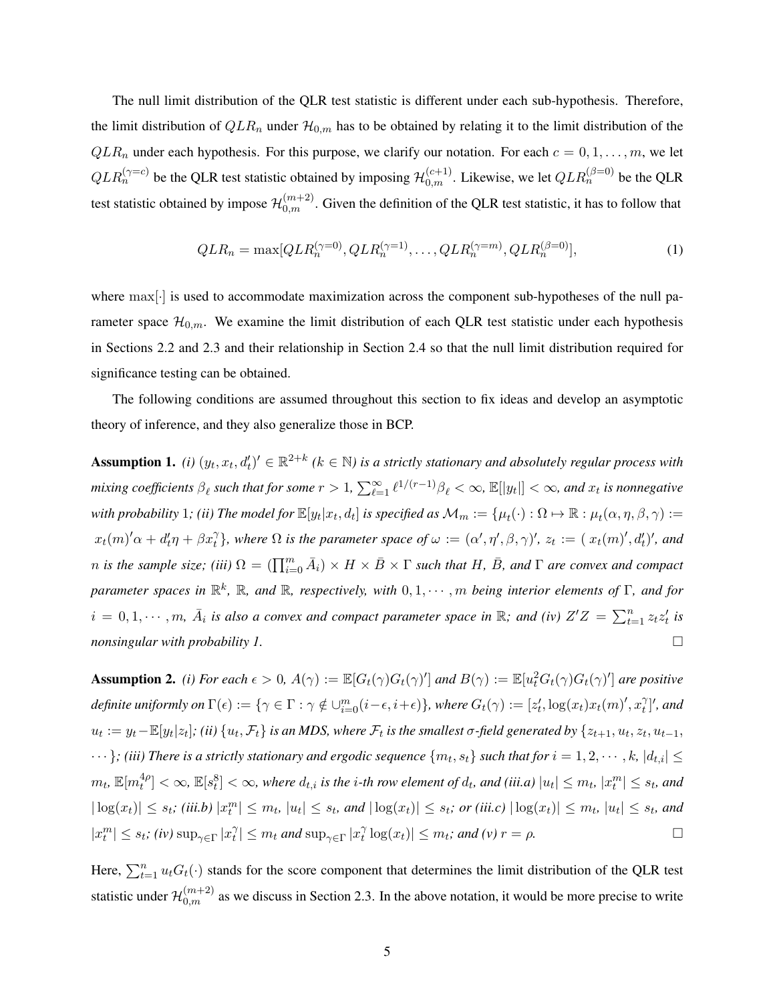The null limit distribution of the QLR test statistic is different under each sub-hypothesis. Therefore, the limit distribution of  $QLR_n$  under  $\mathcal{H}_{0,m}$  has to be obtained by relating it to the limit distribution of the  $QLR_n$  under each hypothesis. For this purpose, we clarify our notation. For each  $c = 0, 1, \ldots, m$ , we let  $QLR_n^{(\gamma=c)}$  be the QLR test statistic obtained by imposing  $\mathcal{H}_{0,m}^{(c+1)}$ . Likewise, we let  $QLR_n^{(\beta=0)}$  be the QLR test statistic obtained by impose  $\mathcal{H}_{0,m}^{(m+2)}$ . Given the definition of the QLR test statistic, it has to follow that

$$
QLR_n = \max[QLR_n^{(\gamma=0)}, QLR_n^{(\gamma=1)}, \dots, QLR_n^{(\gamma=m)}, QLR_n^{(\beta=0)}], \tag{1}
$$

where  $\max[\cdot]$  is used to accommodate maximization across the component sub-hypotheses of the null parameter space  $\mathcal{H}_{0,m}$ . We examine the limit distribution of each QLR test statistic under each hypothesis in Sections 2.2 and 2.3 and their relationship in Section 2.4 so that the null limit distribution required for significance testing can be obtained.

The following conditions are assumed throughout this section to fix ideas and develop an asymptotic theory of inference, and they also generalize those in BCP.

Assumption 1. *(i)*  $(y_t, x_t, d'_t)' \in \mathbb{R}^{2+k}$   $(k \in \mathbb{N})$  is a strictly stationary and absolutely regular process with  $mixing\ coefficients\ \beta_\ell\ such\ that\ for\ some\ r>1,\ \sum_{\ell=1}^\infty\ell^{1/(r-1)}\beta_\ell<\infty,\ \mathbb{E}[|y_t|]<\infty,$  and  $x_t$  is nonnegative with probability 1; (ii) The model for  $\mathbb{E}[y_t|x_t, d_t]$  is specified as  $\mathcal{M}_m:=\{\mu_t(\cdot):\Omega\mapsto\mathbb{R}:\mu_t(\alpha,\eta,\beta,\gamma):=$  $x_t(m)'\alpha + d'_t\eta + \beta x_t^{\gamma}$ , where  $\Omega$  is the parameter space of  $\omega := (\alpha', \eta', \beta, \gamma)'$ ,  $z_t := (x_t(m)', d'_t)'$ , and  $n$  is the sample size; (iii)  $\Omega = (\prod_{i=0}^m \bar{A}_i)\times H\times \bar{B}\times \Gamma$  such that  $H$ ,  $\bar{B}$ , and  $\Gamma$  are convex and compact *parameter spaces in*  $\mathbb{R}^k$ ,  $\mathbb{R}$ *, and*  $\mathbb{R}$ *, respectively, with* 0,1, · · · *, m being interior elements of* Γ*, and for*  $i = 0, 1, \cdots, m$ ,  $\bar{A}_i$  is also a convex and compact parameter space in  $\mathbb{R}$ ; and (iv)  $Z'Z = \sum_{t=1}^n z_t z_t'$  is *nonsingular with probability 1.*

**Assumption 2.** *(i)* For each  $\epsilon > 0$ ,  $A(\gamma) := \mathbb{E}[G_t(\gamma)G_t(\gamma)']$  and  $B(\gamma) := \mathbb{E}[u_t^2G_t(\gamma)G_t(\gamma)']$  are positive  $\textit{definite uniformly on } \Gamma(\epsilon) := \{\gamma \in \Gamma: \gamma \notin \cup_{i=0}^m (i-\epsilon, i+\epsilon)\}, \textit{where } G_t(\gamma) := [z'_t, \log(x_t) x_t(m)', x_t^\gamma]$  $_{t}^{\gamma}]^{\prime}$ , and  $u_t := y_t - \mathbb{E}[y_t|z_t]$ ; (ii)  $\{u_t, \mathcal{F}_t\}$  is an MDS, where  $\mathcal{F}_t$  is the smallest  $\sigma$ -field generated by  $\{z_{t+1}, u_t, z_t, u_{t-1},$  $\cdots$  }; (iii) There is a strictly stationary and ergodic sequence  $\{m_t,s_t\}$  such that for  $i=1,2,\cdots,k$ ,  $|d_{t,i}|\leq$  $m_t$ ,  $\mathbb{E}[m_t^{4\rho}]$  $\{f_t^{(4)}\}<\infty$ ,  $\mathbb{E}[s_t^8]<\infty$ , where  $d_{t,i}$  is the *i*-th row element of  $d_t$ , and (iii.a)  $|u_t|\leq m_t$ ,  $|x_t^m|\leq s_t$ , and  $|\log(x_t)| \leq s_t$ ; (iii.b)  $|x_t^m| \leq m_t$ ,  $|u_t| \leq s_t$ , and  $|\log(x_t)| \leq s_t$ ; or (iii.c)  $|\log(x_t)| \leq m_t$ ,  $|u_t| \leq s_t$ , and  $|x_t^m| \leq s_t$ ; (iv)  $\sup_{\gamma \in \Gamma} |x_t^{\gamma}|$  $\vert \tilde{t}_t^{\gamma} \vert \leq m_t$  and  $\sup_{\gamma \in \Gamma} |x_t^{\gamma}|$  $\int_t^{\gamma} \log(x_t) \leq m_t$ *; and (v)*  $r = \rho$ .

Here,  $\sum_{t=1}^{n} u_t G_t(\cdot)$  stands for the score component that determines the limit distribution of the QLR test statistic under  $\mathcal{H}_{0,m}^{(m+2)}$  as we discuss in Section 2.3. In the above notation, it would be more precise to write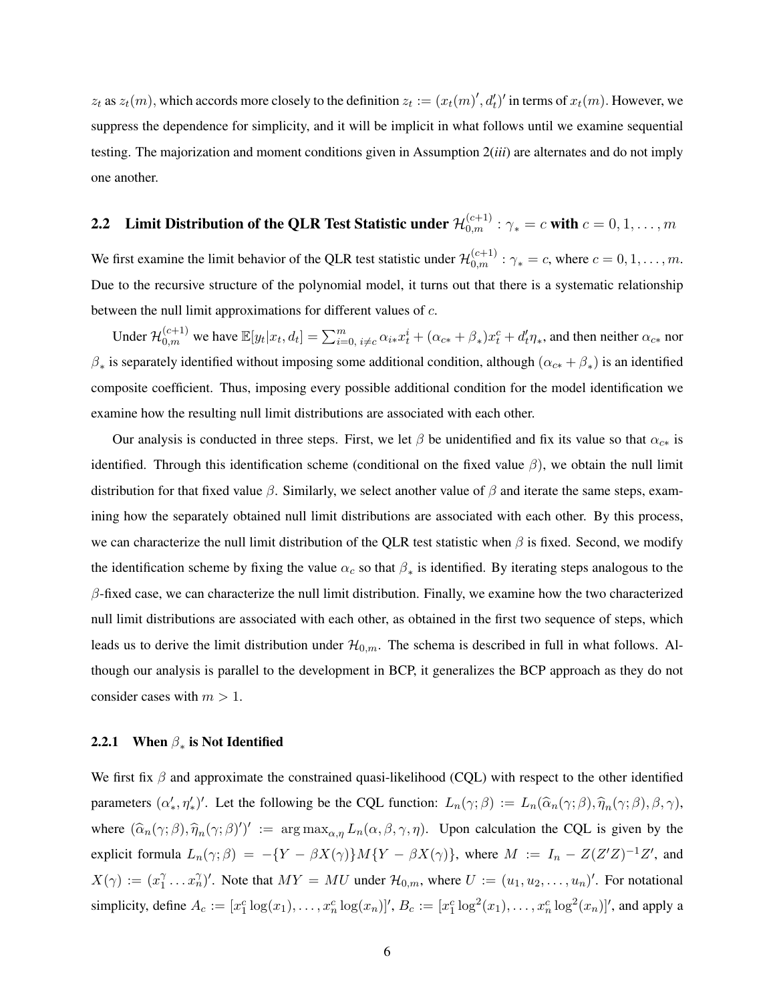$z_t$  as  $z_t(m)$ , which accords more closely to the definition  $z_t := (x_t(m)', d'_t)'$  in terms of  $x_t(m)$ . However, we suppress the dependence for simplicity, and it will be implicit in what follows until we examine sequential testing. The majorization and moment conditions given in Assumption 2(*iii*) are alternates and do not imply one another.

# 2.2 Limit Distribution of the QLR Test Statistic under  ${\cal H}_{0,m}^{(c+1)}$  :  $\gamma_*=c$  with  $c=0,1,\ldots,m$

We first examine the limit behavior of the QLR test statistic under  $\mathcal{H}_{0,m}^{(c+1)}$  :  $\gamma_*=c$ , where  $c=0,1,\ldots,m$ . Due to the recursive structure of the polynomial model, it turns out that there is a systematic relationship between the null limit approximations for different values of c.

Under  $\mathcal{H}_{0,m}^{(c+1)}$  we have  $\mathbb{E}[y_t|x_t, d_t] = \sum_{i=0, i \neq c}^{m} \alpha_{i \ast} x_t^i + (\alpha_{c \ast} + \beta_{\ast}) x_t^c + d_t^{\prime} \eta_{\ast}$ , and then neither  $\alpha_{c \ast}$  nor  $\beta_*$  is separately identified without imposing some additional condition, although  $(\alpha_{c*} + \beta_*)$  is an identified composite coefficient. Thus, imposing every possible additional condition for the model identification we examine how the resulting null limit distributions are associated with each other.

Our analysis is conducted in three steps. First, we let  $\beta$  be unidentified and fix its value so that  $\alpha_{c*}$  is identified. Through this identification scheme (conditional on the fixed value  $\beta$ ), we obtain the null limit distribution for that fixed value  $\beta$ . Similarly, we select another value of  $\beta$  and iterate the same steps, examining how the separately obtained null limit distributions are associated with each other. By this process, we can characterize the null limit distribution of the QLR test statistic when  $\beta$  is fixed. Second, we modify the identification scheme by fixing the value  $\alpha_c$  so that  $\beta_*$  is identified. By iterating steps analogous to the  $\beta$ -fixed case, we can characterize the null limit distribution. Finally, we examine how the two characterized null limit distributions are associated with each other, as obtained in the first two sequence of steps, which leads us to derive the limit distribution under  $\mathcal{H}_{0,m}$ . The schema is described in full in what follows. Although our analysis is parallel to the development in BCP, it generalizes the BCP approach as they do not consider cases with  $m > 1$ .

### 2.2.1 When  $\beta_*$  is Not Identified

We first fix  $\beta$  and approximate the constrained quasi-likelihood (CQL) with respect to the other identified parameters  $(\alpha'_*, \eta'_*)'$ . Let the following be the CQL function:  $L_n(\gamma; \beta) := L_n(\widehat{\alpha}_n(\gamma; \beta), \widehat{\eta}_n(\gamma; \beta), \beta, \gamma)$ , where  $(\widehat{\alpha}_n(\gamma;\beta), \widehat{\eta}_n(\gamma;\beta)')' := \arg \max_{\alpha,\eta} L_n(\alpha,\beta,\gamma,\eta)$ . Upon calculation the CQL is given by the explicit formula  $L_n(\gamma;\beta) = -\{Y - \beta X(\gamma)\}M\{Y - \beta X(\gamma)\}\,$ , where  $M := I_n - Z(Z'Z)^{-1}Z'$ , and  $X(\gamma) := (x_1^{\gamma})$  $\hat{H}_1 \dots \hat{H}_n'$ . Note that  $MY = MU$  under  $\mathcal{H}_{0,m}$ , where  $U := (u_1, u_2, \dots, u_n)'$ . For notational simplicity, define  $A_c := [x_1^c \log(x_1), \ldots, x_n^c \log(x_n)]'$ ,  $B_c := [x_1^c \log^2(x_1), \ldots, x_n^c \log^2(x_n)]'$ , and apply a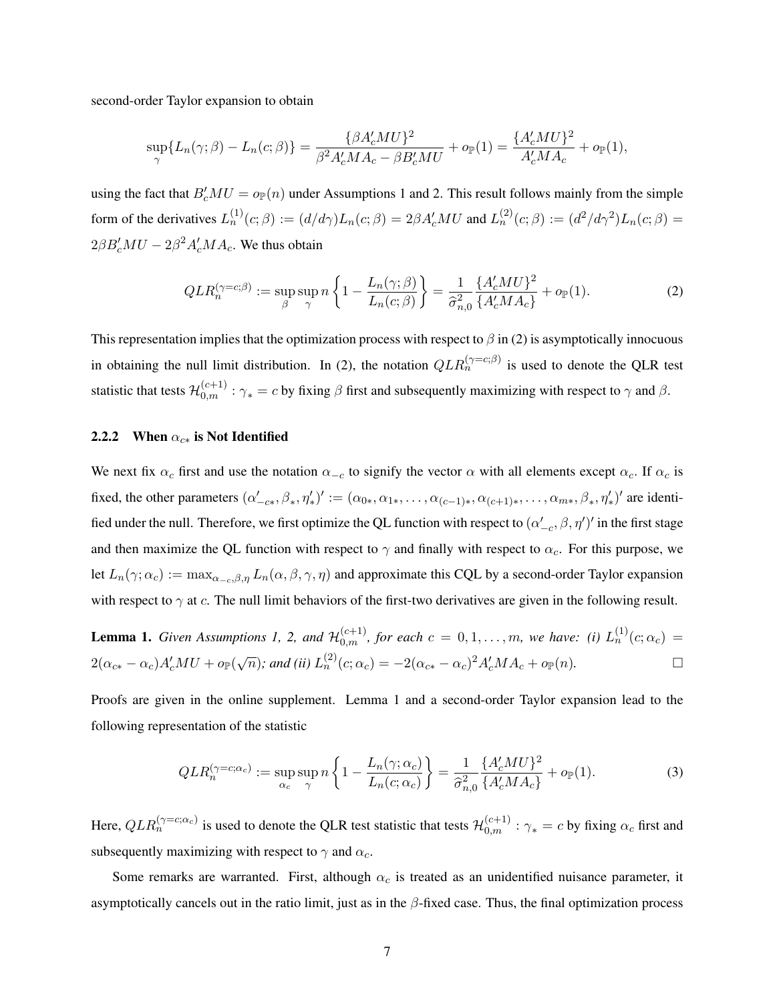second-order Taylor expansion to obtain

$$
\sup_{\gamma} \{ L_n(\gamma; \beta) - L_n(c; \beta) \} = \frac{\{ \beta A_c'MU \}^2}{\beta^2 A_c'MA_c - \beta B_c'MU} + o_{\mathbb{P}}(1) = \frac{\{ A_c'MU \}^2}{A_c'MA_c} + o_{\mathbb{P}}(1),
$$

using the fact that  $B_c'MU = o_{\mathbb{P}}(n)$  under Assumptions 1 and 2. This result follows mainly from the simple form of the derivatives  $L_n^{(1)}(c;\beta) := (d/d\gamma)L_n(c;\beta) = 2\beta A_c'MU$  and  $L_n^{(2)}(c;\beta) := (d^2/d\gamma^2)L_n(c;\beta) =$  $2\beta B_c'MU - 2\beta^2 A_c'MA_c$ . We thus obtain

$$
QLR_n^{(\gamma=c;\beta)} := \sup_{\beta} \sup_{\gamma} n \left\{ 1 - \frac{L_n(\gamma;\beta)}{L_n(c;\beta)} \right\} = \frac{1}{\hat{\sigma}_{n,0}^2} \frac{\{A_c'MU\}^2}{\{A_c'MA_c\}} + o_{\mathbb{P}}(1). \tag{2}
$$

This representation implies that the optimization process with respect to  $\beta$  in (2) is asymptotically innocuous in obtaining the null limit distribution. In (2), the notation  $QLR_n^{(\gamma=c;\beta)}$  is used to denote the QLR test statistic that tests  $\mathcal{H}_{0,m}^{(c+1)}$  :  $\gamma_*=c$  by fixing  $\beta$  first and subsequently maximizing with respect to  $\gamma$  and  $\beta$ .

#### 2.2.2 When  $\alpha_{c*}$  is Not Identified

We next fix  $\alpha_c$  first and use the notation  $\alpha_{-c}$  to signify the vector  $\alpha$  with all elements except  $\alpha_c$ . If  $\alpha_c$  is fixed, the other parameters  $(\alpha'_{-c\ast}, \beta_{\ast}, \eta'_{\ast})' := (\alpha_{0\ast}, \alpha_{1\ast}, \dots, \alpha_{(c-1)\ast}, \alpha_{(c+1)\ast}, \dots, \alpha_{m\ast}, \beta_{\ast}, \eta'_{\ast})'$  are identified under the null. Therefore, we first optimize the QL function with respect to  $(\alpha'_{-c}, \beta, \eta')'$  in the first stage and then maximize the QL function with respect to  $\gamma$  and finally with respect to  $\alpha_c$ . For this purpose, we let  $L_n(\gamma; \alpha_c) := \max_{\alpha = c, \beta, \eta} L_n(\alpha, \beta, \gamma, \eta)$  and approximate this CQL by a second-order Taylor expansion with respect to  $\gamma$  at c. The null limit behaviors of the first-two derivatives are given in the following result.

**Lemma 1.** Given Assumptions 1, 2, and 
$$
\mathcal{H}_{0,m}^{(c+1)}
$$
, for each  $c = 0, 1, ..., m$ , we have: (i)  $L_n^{(1)}(c; \alpha_c) = 2(\alpha_{c*} - \alpha_c)A_c'MU + o_{\mathbb{P}}(\sqrt{n})$ ; and (ii)  $L_n^{(2)}(c; \alpha_c) = -2(\alpha_{c*} - \alpha_c)^2 A_c'MA_c + o_{\mathbb{P}}(n)$ .

Proofs are given in the online supplement. Lemma 1 and a second-order Taylor expansion lead to the following representation of the statistic

$$
QLR_n^{(\gamma=c;\alpha_c)} := \sup_{\alpha_c} \sup_{\gamma} n \left\{ 1 - \frac{L_n(\gamma;\alpha_c)}{L_n(c;\alpha_c)} \right\} = \frac{1}{\hat{\sigma}_{n,0}^2} \frac{\{A_c'MU\}^2}{\{A_c'MA_c\}} + o_{\mathbb{P}}(1). \tag{3}
$$

Here,  $QLR_n^{(\gamma=c;\alpha_c)}$  is used to denote the QLR test statistic that tests  $\mathcal{H}_{0,m}^{(c+1)}$  :  $\gamma_*=c$  by fixing  $\alpha_c$  first and subsequently maximizing with respect to  $\gamma$  and  $\alpha_c$ .

Some remarks are warranted. First, although  $\alpha_c$  is treated as an unidentified nuisance parameter, it asymptotically cancels out in the ratio limit, just as in the  $\beta$ -fixed case. Thus, the final optimization process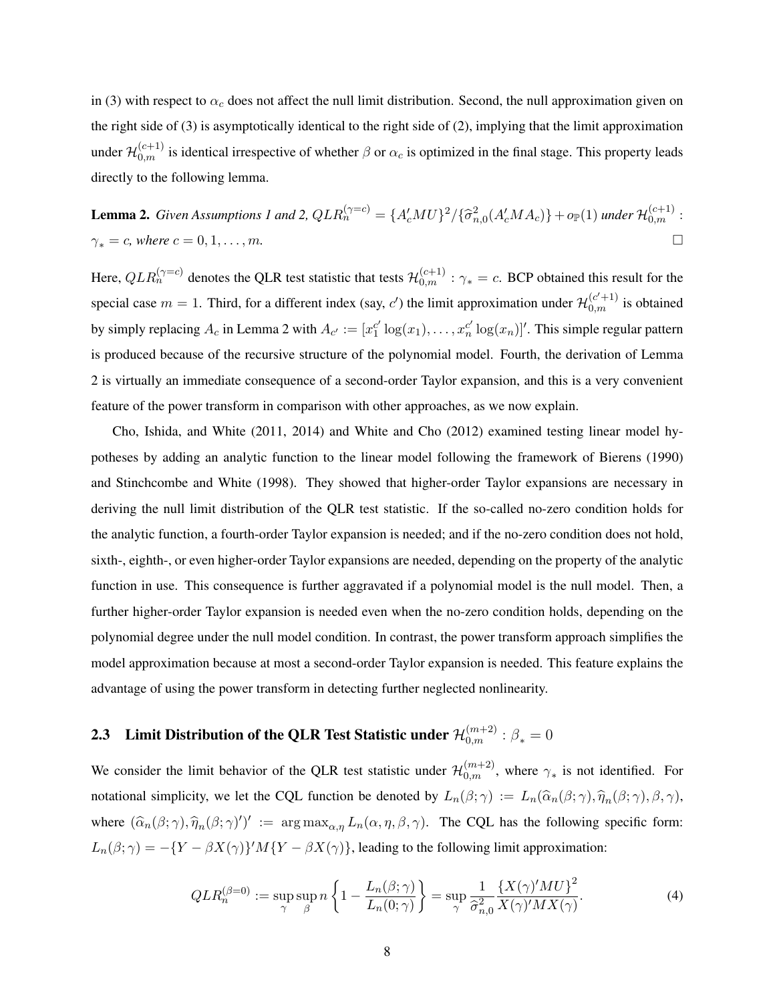in (3) with respect to  $\alpha_c$  does not affect the null limit distribution. Second, the null approximation given on the right side of (3) is asymptotically identical to the right side of (2), implying that the limit approximation under  $\mathcal{H}_{0,m}^{(c+1)}$  is identical irrespective of whether  $\beta$  or  $\alpha_c$  is optimized in the final stage. This property leads directly to the following lemma.

**Lemma 2.** Given Assumptions 1 and 2, 
$$
QLR_n^{(\gamma=c)} = \{A_c'MU\}^2 / {\{\widehat{\sigma}_{n,0}^2(A_c'MA_c)\} + o_{\mathbb{P}}(1)}
$$
 under  $\mathcal{H}_{0,m}^{(c+1)}$ :  
 $\gamma_* = c$ , where  $c = 0, 1, ..., m$ .

Here,  $QLR_n^{(\gamma=c)}$  denotes the QLR test statistic that tests  $\mathcal{H}_{0,m}^{(c+1)}: \gamma_*=c.$  BCP obtained this result for the special case  $m=1$ . Third, for a different index (say, c') the limit approximation under  $\mathcal{H}_{0,m}^{(c'+1)}$  is obtained by simply replacing  $A_c$  in Lemma 2 with  $A_{c'} := [x_1^{c'}]$  $\int_1^{c'} \log(x_1), \ldots, x_n^{c'} \log(x_n)$ '. This simple regular pattern is produced because of the recursive structure of the polynomial model. Fourth, the derivation of Lemma 2 is virtually an immediate consequence of a second-order Taylor expansion, and this is a very convenient feature of the power transform in comparison with other approaches, as we now explain.

Cho, Ishida, and White (2011, 2014) and White and Cho (2012) examined testing linear model hypotheses by adding an analytic function to the linear model following the framework of Bierens (1990) and Stinchcombe and White (1998). They showed that higher-order Taylor expansions are necessary in deriving the null limit distribution of the QLR test statistic. If the so-called no-zero condition holds for the analytic function, a fourth-order Taylor expansion is needed; and if the no-zero condition does not hold, sixth-, eighth-, or even higher-order Taylor expansions are needed, depending on the property of the analytic function in use. This consequence is further aggravated if a polynomial model is the null model. Then, a further higher-order Taylor expansion is needed even when the no-zero condition holds, depending on the polynomial degree under the null model condition. In contrast, the power transform approach simplifies the model approximation because at most a second-order Taylor expansion is needed. This feature explains the advantage of using the power transform in detecting further neglected nonlinearity.

# 2.3 Limit Distribution of the QLR Test Statistic under  $\mathcal{H}_{0,m}^{(m+2)}: \beta_*=0$

We consider the limit behavior of the QLR test statistic under  $\mathcal{H}_{0,m}^{(m+2)}$ , where  $\gamma_*$  is not identified. For notational simplicity, we let the CQL function be denoted by  $L_n(\beta; \gamma) := L_n(\widehat{\alpha}_n(\beta; \gamma), \widehat{\eta}_n(\beta; \gamma), \beta, \gamma)$ , where  $(\widehat{\alpha}_n(\beta; \gamma), \widehat{\eta}_n(\beta; \gamma)')' := \arg \max_{\alpha, \eta} L_n(\alpha, \eta, \beta, \gamma)$ . The CQL has the following specific form:  $L_n(\beta; \gamma) = -\{Y - \beta X(\gamma)\}^t M \{Y - \beta X(\gamma)\}\)$ , leading to the following limit approximation:

$$
QLR_n^{(\beta=0)} := \sup_{\gamma} \sup_{\beta} n \left\{ 1 - \frac{L_n(\beta; \gamma)}{L_n(0; \gamma)} \right\} = \sup_{\gamma} \frac{1}{\hat{\sigma}_{n,0}^2} \frac{\left\{ X(\gamma)' M U \right\}^2}{X(\gamma)' M X(\gamma)}.
$$
 (4)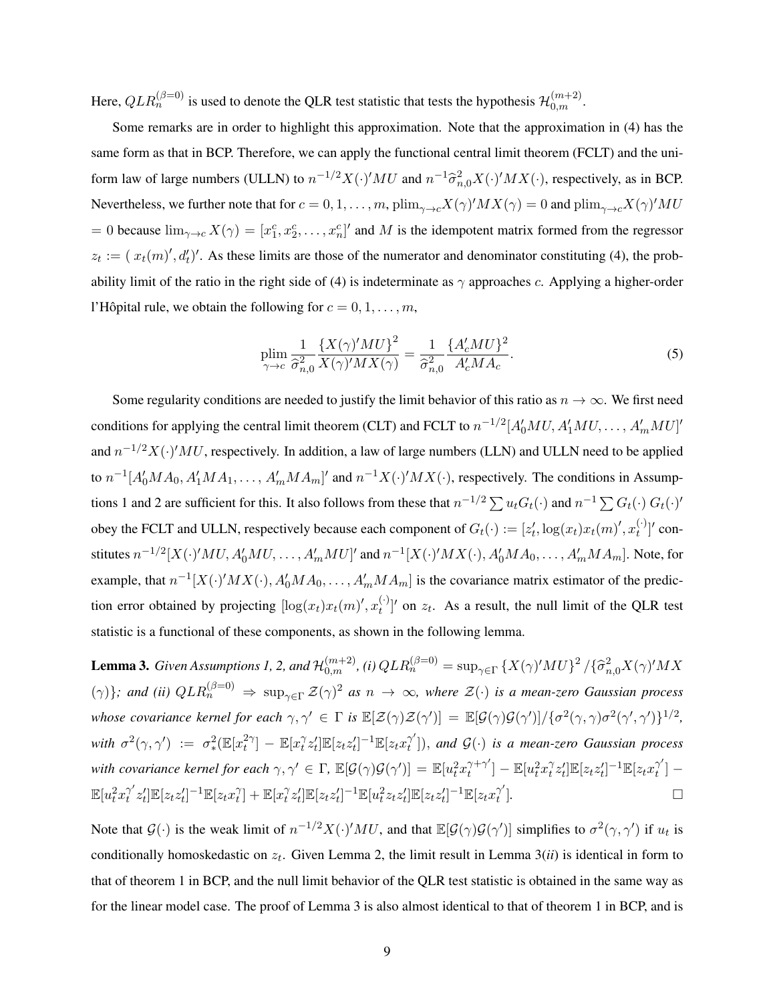Here,  $QLR_n^{(\beta=0)}$  is used to denote the QLR test statistic that tests the hypothesis  $\mathcal{H}_{0,m}^{(m+2)}$ .

Some remarks are in order to highlight this approximation. Note that the approximation in (4) has the same form as that in BCP. Therefore, we can apply the functional central limit theorem (FCLT) and the uniform law of large numbers (ULLN) to  $n^{-1/2}X(\cdot)^\prime MU$  and  $n^{-1}\hat{\sigma}_{n,0}^2X(\cdot)^\prime MX(\cdot)$ , respectively, as in BCP. Nevertheless, we further note that for  $c = 0, 1, ..., m$ ,  $\text{plim}_{\gamma \to c} X(\gamma)' M X(\gamma) = 0$  and  $\text{plim}_{\gamma \to c} X(\gamma)' M U(\gamma)$ = 0 because  $\lim_{\gamma\to c} X(\gamma) = [x_1^c, x_2^c, \dots, x_n^c]'$  and M is the idempotent matrix formed from the regressor  $z_t := (x_t(m)^\prime, d_t^\prime)^\prime$ . As these limits are those of the numerator and denominator constituting (4), the probability limit of the ratio in the right side of (4) is indeterminate as  $\gamma$  approaches c. Applying a higher-order l'Hôpital rule, we obtain the following for  $c = 0, 1, \ldots, m$ ,

$$
\lim_{\gamma \to c} \frac{1}{\hat{\sigma}_{n,0}^2} \frac{\{X(\gamma)'MU\}^2}{X(\gamma)'MX(\gamma)} = \frac{1}{\hat{\sigma}_{n,0}^2} \frac{\{A_c'MU\}^2}{A_c'MA_c}.
$$
\n<sup>(5)</sup>

Some regularity conditions are needed to justify the limit behavior of this ratio as  $n \to \infty$ . We first need conditions for applying the central limit theorem (CLT) and FCLT to  $n^{-1/2}[A'_0MU, A'_1MU, \dots, A'_mMU]'$ and  $n^{-1/2}X(\cdot)^\prime MU$ , respectively. In addition, a law of large numbers (LLN) and ULLN need to be applied to  $n^{-1}[A'_0 M A_0, A'_1 M A_1, \dots, A'_m M A_m]'$  and  $n^{-1}X(\cdot)' M X(\cdot)$ , respectively. The conditions in Assumptions 1 and 2 are sufficient for this. It also follows from these that  $n^{-1/2} \sum u_t G_t(\cdot)$  and  $n^{-1} \sum G_t(\cdot) G_t(\cdot)'$ obey the FCLT and ULLN, respectively because each component of  $G_t(\cdot) := [z'_t, \log(x_t)x_t(m)', x_t^{(\cdot)}]$  $\binom{(\cdot)}{t}$ ' constitutes  $n^{-1/2}[X(\cdot)'MU, A'_0MU, \dots, A'_mMU]'$  and  $n^{-1}[X(\cdot)'MX(\cdot), A'_0MA_0, \dots, A'_mMA_m]$ . Note, for example, that  $n^{-1}[X(\cdot)'MX(\cdot), A_0'MA_0, \ldots, A_m'MA_m]$  is the covariance matrix estimator of the prediction error obtained by projecting  $[\log(x_t)x_t(m)^\prime, x_t^{(\cdot)}]$  $\binom{(\cdot)}{t}$  on  $z_t$ . As a result, the null limit of the QLR test statistic is a functional of these components, as shown in the following lemma.

**Lemma 3.** *Given Assumptions 1, 2, and*  $\mathcal{H}_{0,m}^{(m+2)}$ , (i)  $QLR_n^{(\beta=0)} = \sup_{\gamma \in \Gamma} \left\{ X(\gamma)'MU \right\}^2 / {\{\widehat{\sigma}_{n,0}^2 X(\gamma)' MX}$  $(\gamma)$ }; and (ii)  $QLR_n^{(\beta=0)} \Rightarrow \sup_{\gamma \in \Gamma} \mathcal{Z}(\gamma)^2$  as  $n \to \infty$ , where  $\mathcal{Z}(\cdot)$  is a mean-zero Gaussian process *whose covariance kernel for each*  $\gamma, \gamma' \in \Gamma$  *is*  $\mathbb{E}[\mathcal{Z}(\gamma)\mathcal{Z}(\gamma')] = \mathbb{E}[\mathcal{G}(\gamma)\mathcal{G}(\gamma')] / {\{\sigma^2(\gamma, \gamma)\sigma^2(\gamma', \gamma')\}}^{1/2}$ , with  $\sigma^2(\gamma, \gamma') := \sigma^2_*(\mathbb{E}[x_t^{2\gamma})$  $\left[\begin{smallmatrix} 2\gamma \\ t \end{smallmatrix}\right] - \mathbb{E}[x_t^{\gamma}]$  $\int_t^{\gamma} z'_t \rbrack \mathbb{E}[z_t z'_t]^{-1} \mathbb{E}[z_t x_t^{\gamma'}]$  $\mathcal{C}_t^{\gamma}$ ]), and  $\mathcal{G}(\cdot)$  is a mean-zero Gaussian process with covariance kernel for each  $\gamma, \gamma' \in \Gamma$ ,  $\mathbb{E}[\mathcal{G}(\gamma)\mathcal{G}(\gamma')] = \mathbb{E}[u_t^2 x_t^{\gamma+\gamma'}]$  $\mathbb{E}[u_t^2 x_t^\gamma] - \mathbb{E}[u_t^2 x_t^\gamma]$  $\int_t^\gamma z'_t\big] \mathbb{E}[z_t z'_t]^{-1} \mathbb{E}[z_t x_t^{\gamma'}]$  $\left[\begin{smallmatrix} \gamma \ t \end{smallmatrix}\right]$   $\mathbb{E}[u_t^2 x_t^{\gamma'}]$  $\int_t^{\gamma'} z'_t] \mathbb{E}[z_t z'_t]^{-1} \mathbb{E}[z_t x_t^{\gamma}]$  $\ell_t^{\gamma}$ ] +  $\mathbb{E}[x_t^{\gamma}]$  $\int_t^\gamma z'_t\vert \mathbb{E}[z_t z'_t]^{-1} \mathbb{E}[u_t^2 z_t z'_t] \mathbb{E}[z_t z'_t]^{-1} \mathbb{E}[z_t x_t^{\gamma'}]$ t ]*.*

Note that  $\mathcal{G}(\cdot)$  is the weak limit of  $n^{-1/2}X(\cdot)^\prime MU$ , and that  $\mathbb{E}[\mathcal{G}(\gamma)\mathcal{G}(\gamma')]$  simplifies to  $\sigma^2(\gamma,\gamma')$  if  $u_t$  is conditionally homoskedastic on  $z_t$ . Given Lemma 2, the limit result in Lemma  $3(ii)$  is identical in form to that of theorem 1 in BCP, and the null limit behavior of the QLR test statistic is obtained in the same way as for the linear model case. The proof of Lemma 3 is also almost identical to that of theorem 1 in BCP, and is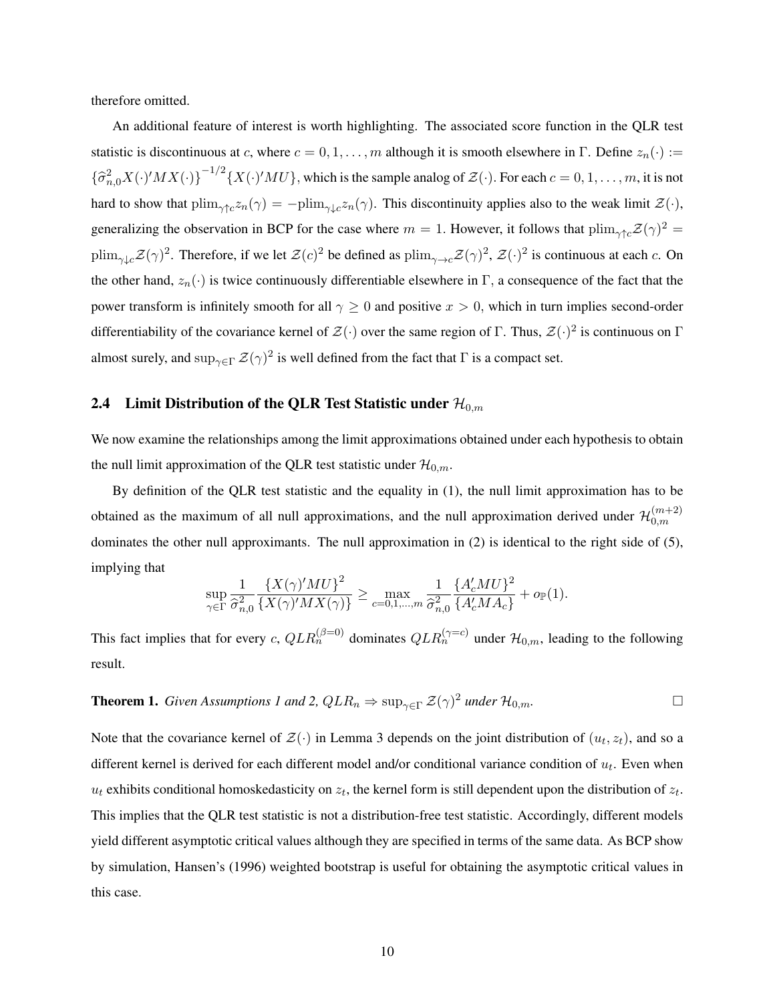therefore omitted.

An additional feature of interest is worth highlighting. The associated score function in the QLR test statistic is discontinuous at c, where  $c = 0, 1, \ldots, m$  although it is smooth elsewhere in Γ. Define  $z_n(\cdot) :=$  ${\lbrace \hat{\sigma}_{n,0}^2 X(\cdot)' M X(\cdot) \rbrace}^{-1/2} {\lbrace X(\cdot)' M U \rbrace}$ , which is the sample analog of  $\mathcal{Z}(\cdot)$ . For each  $c = 0, 1, ..., m$ , it is not hard to show that  $\plim_{\gamma\uparrow c} z_n(\gamma) = -\plim_{\gamma\downarrow c} z_n(\gamma)$ . This discontinuity applies also to the weak limit  $\mathcal{Z}(\cdot)$ , generalizing the observation in BCP for the case where  $m = 1$ . However, it follows that  $\text{plim}_{\gamma\uparrow c} \mathcal{Z}(\gamma)^2 =$  $\plim_{\gamma\downarrow c}\mathcal{Z}(\gamma)^2$ . Therefore, if we let  $\mathcal{Z}(c)^2$  be defined as  $\plim_{\gamma\to c}\mathcal{Z}(\gamma)^2$ ,  $\mathcal{Z}(\cdot)^2$  is continuous at each c. On the other hand,  $z_n(\cdot)$  is twice continuously differentiable elsewhere in Γ, a consequence of the fact that the power transform is infinitely smooth for all  $\gamma \ge 0$  and positive  $x > 0$ , which in turn implies second-order differentiability of the covariance kernel of  $\mathcal{Z}(\cdot)$  over the same region of Γ. Thus,  $\mathcal{Z}(\cdot)^2$  is continuous on Γ almost surely, and  $\sup_{\gamma \in \Gamma} \mathcal{Z}(\gamma)^2$  is well defined from the fact that  $\Gamma$  is a compact set.

### 2.4 Limit Distribution of the QLR Test Statistic under  $\mathcal{H}_{0,m}$

We now examine the relationships among the limit approximations obtained under each hypothesis to obtain the null limit approximation of the QLR test statistic under  $\mathcal{H}_{0,m}$ .

By definition of the QLR test statistic and the equality in (1), the null limit approximation has to be obtained as the maximum of all null approximations, and the null approximation derived under  $\mathcal{H}_{0,m}^{(m+2)}$  $_{0,m}$ dominates the other null approximants. The null approximation in (2) is identical to the right side of (5), implying that

$$
\sup_{\gamma \in \Gamma} \frac{1}{\hat{\sigma}_{n,0}^2} \frac{\{X(\gamma)'MU\}^2}{\{X(\gamma)'MX(\gamma)\} } \ge \max_{c=0,1,\dots,m} \frac{1}{\hat{\sigma}_{n,0}^2} \frac{\{A_c'MU\}^2}{\{A_c'MA_c\}} + o_{\mathbb{P}}(1).
$$

This fact implies that for every c,  $QLR_n^{(\beta=0)}$  dominates  $QLR_n^{(\gamma=c)}$  under  $\mathcal{H}_{0,m}$ , leading to the following result.

# **Theorem 1.** *Given Assumptions 1 and 2,*  $QLR_n \Rightarrow \sup_{\gamma \in \Gamma} \mathcal{Z}(\gamma)^2$  *under*  $\mathcal{H}_{0,m}$ .

Note that the covariance kernel of  $\mathcal{Z}(\cdot)$  in Lemma 3 depends on the joint distribution of  $(u_t, z_t)$ , and so a different kernel is derived for each different model and/or conditional variance condition of  $u_t$ . Even when  $u_t$  exhibits conditional homoskedasticity on  $z_t$ , the kernel form is still dependent upon the distribution of  $z_t$ . This implies that the QLR test statistic is not a distribution-free test statistic. Accordingly, different models yield different asymptotic critical values although they are specified in terms of the same data. As BCP show by simulation, Hansen's (1996) weighted bootstrap is useful for obtaining the asymptotic critical values in this case.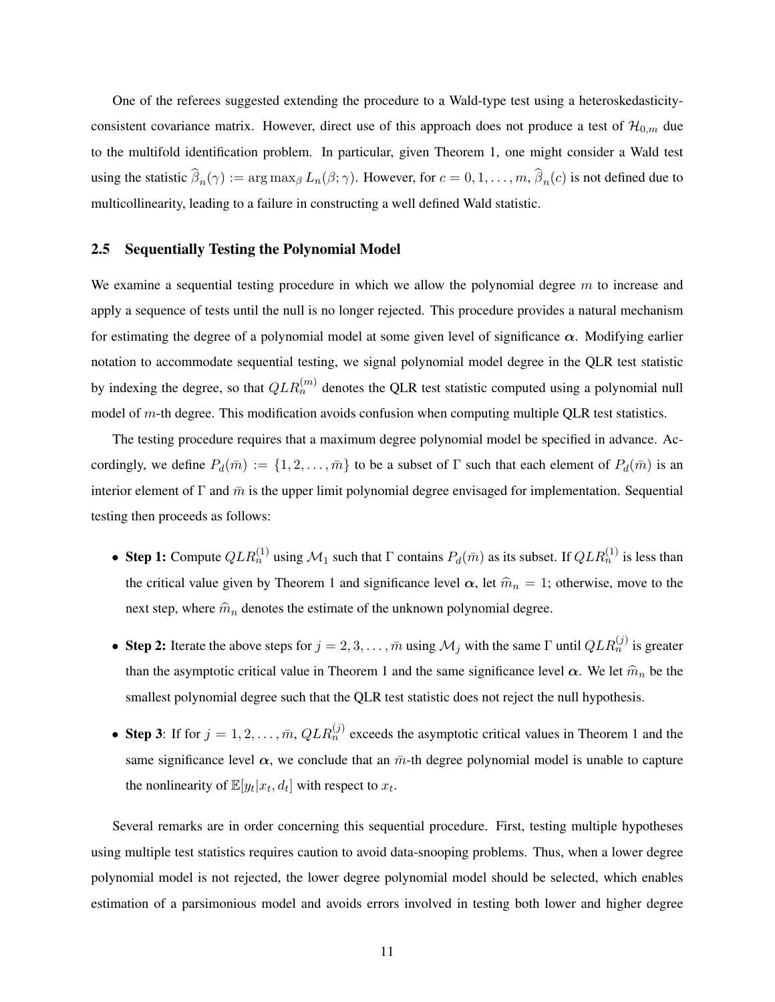One of the referees suggested extending the procedure to a Wald-type test using a heteroskedasticityconsistent covariance matrix. However, direct use of this approach does not produce a test of  $\mathcal{H}_{0,m}$  due to the multifold identification problem. In particular, given Theorem 1, one might consider a Wald test using the statistic  $\beta_n(\gamma) := \arg \max_{\beta} L_n(\beta; \gamma)$ . However, for  $c = 0, 1, ..., m$ ,  $\beta_n(c)$  is not defined due to multicollinearity, leading to a failure in constructing a well defined Wald statistic.

### 2.5 Sequentially Testing the Polynomial Model

We examine a sequential testing procedure in which we allow the polynomial degree  $m$  to increase and apply a sequence of tests until the null is no longer rejected. This procedure provides a natural mechanism for estimating the degree of a polynomial model at some given level of significance  $\alpha$ . Modifying earlier notation to accommodate sequential testing, we signal polynomial model degree in the QLR test statistic by indexing the degree, so that  $QLR_n^{(m)}$  denotes the QLR test statistic computed using a polynomial null model of  $m$ -th degree. This modification avoids confusion when computing multiple QLR test statistics.

The testing procedure requires that a maximum degree polynomial model be specified in advance. Accordingly, we define  $P_d(\bar{m}) := \{1, 2, \ldots, \bar{m}\}\$ to be a subset of Γ such that each element of  $P_d(\bar{m})$  is an interior element of  $\Gamma$  and  $\bar{m}$  is the upper limit polynomial degree envisaged for implementation. Sequential testing then proceeds as follows:

- Step 1: Compute  $QLR_n^{(1)}$  using  $\mathcal{M}_1$  such that  $\Gamma$  contains  $P_d(\bar{m})$  as its subset. If  $QLR_n^{(1)}$  is less than the critical value given by Theorem 1 and significance level  $\alpha$ , let  $\hat{m}_n = 1$ ; otherwise, move to the next step, where  $\hat{m}_n$  denotes the estimate of the unknown polynomial degree.
- Step 2: Iterate the above steps for  $j = 2, 3, \ldots, \bar{m}$  using  $\mathcal{M}_j$  with the same  $\Gamma$  until  $QLR_n^{(j)}$  is greater than the asymptotic critical value in Theorem 1 and the same significance level  $\alpha$ . We let  $\hat{m}_n$  be the smallest polynomial degree such that the QLR test statistic does not reject the null hypothesis.
- Step 3: If for  $j = 1, 2, ..., \overline{m}$ ,  $QLR_n^{(j)}$  exceeds the asymptotic critical values in Theorem 1 and the same significance level  $\alpha$ , we conclude that an  $\bar{m}$ -th degree polynomial model is unable to capture the nonlinearity of  $\mathbb{E}[y_t|x_t, d_t]$  with respect to  $x_t$ .

Several remarks are in order concerning this sequential procedure. First, testing multiple hypotheses using multiple test statistics requires caution to avoid data-snooping problems. Thus, when a lower degree polynomial model is not rejected, the lower degree polynomial model should be selected, which enables estimation of a parsimonious model and avoids errors involved in testing both lower and higher degree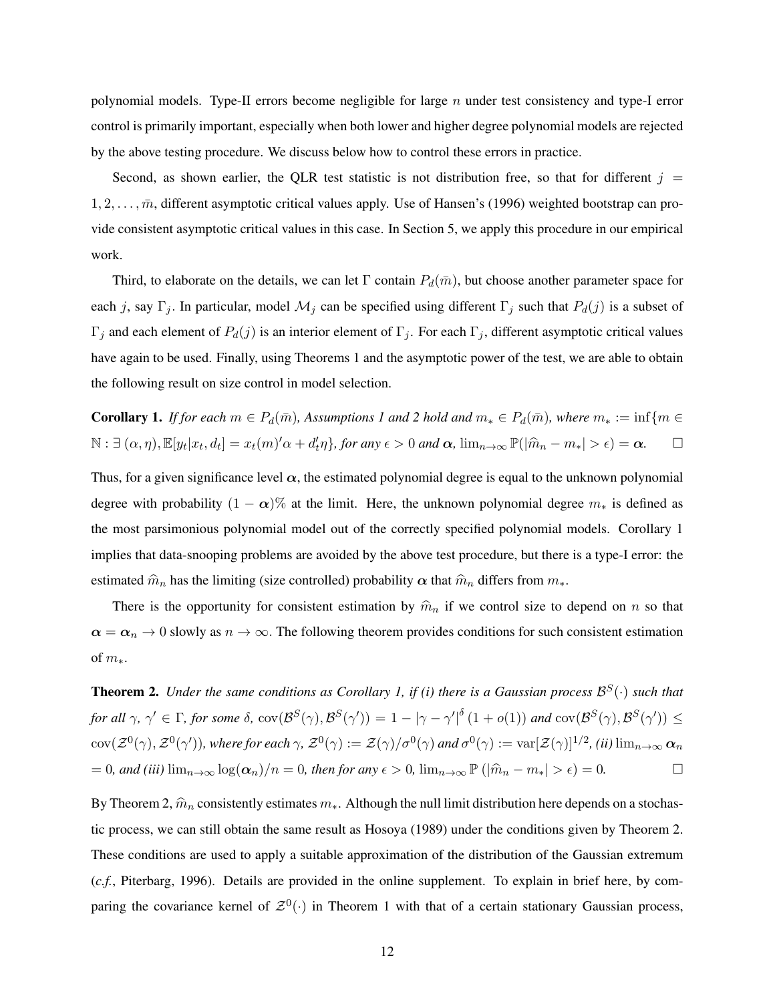polynomial models. Type-II errors become negligible for large n under test consistency and type-I error control is primarily important, especially when both lower and higher degree polynomial models are rejected by the above testing procedure. We discuss below how to control these errors in practice.

Second, as shown earlier, the QLR test statistic is not distribution free, so that for different  $j =$  $1, 2, \ldots, \bar{m}$ , different asymptotic critical values apply. Use of Hansen's (1996) weighted bootstrap can provide consistent asymptotic critical values in this case. In Section 5, we apply this procedure in our empirical work.

Third, to elaborate on the details, we can let Γ contain  $P_d(\bar{m})$ , but choose another parameter space for each j, say Γ<sub>j</sub>. In particular, model  $\mathcal{M}_j$  can be specified using different  $\Gamma_j$  such that  $P_d(j)$  is a subset of Γ<sub>j</sub> and each element of  $P_d(j)$  is an interior element of Γ<sub>j</sub>. For each Γ<sub>j</sub>, different asymptotic critical values have again to be used. Finally, using Theorems 1 and the asymptotic power of the test, we are able to obtain the following result on size control in model selection.

**Corollary 1.** *If for each*  $m \in P_d(\overline{m})$ *, Assumptions 1 and 2 hold and*  $m_* \in P_d(\overline{m})$ *, where*  $m_* := \inf\{m \in P_d(\overline{m})\}$  $\mathbb{N}: \exists (\alpha, \eta), \mathbb{E}[y_t | x_t, d_t] = x_t(m)'\alpha + d'_t\eta\},$  for any  $\epsilon > 0$  and  $\alpha$ ,  $\lim_{n \to \infty} \mathbb{P}(|\hat{m}_n - m_*| > \epsilon) = \alpha$ .

Thus, for a given significance level  $\alpha$ , the estimated polynomial degree is equal to the unknown polynomial degree with probability  $(1 - \alpha)$ % at the limit. Here, the unknown polynomial degree  $m_*$  is defined as the most parsimonious polynomial model out of the correctly specified polynomial models. Corollary 1 implies that data-snooping problems are avoided by the above test procedure, but there is a type-I error: the estimated  $\hat{m}_n$  has the limiting (size controlled) probability  $\alpha$  that  $\hat{m}_n$  differs from  $m_*$ .

There is the opportunity for consistent estimation by  $\hat{m}_n$  if we control size to depend on n so that  $\alpha = \alpha_n \to 0$  slowly as  $n \to \infty$ . The following theorem provides conditions for such consistent estimation of  $m_*$ .

**Theorem 2.** Under the same conditions as Corollary 1, if (i) there is a Gaussian process  $\mathcal{B}^S(\cdot)$  such that *for all*  $\gamma$ ,  $\gamma' \in \Gamma$ , *for some*  $\delta$ ,  $\text{cov}(\mathcal{B}^S(\gamma), \mathcal{B}^S(\gamma')) = 1 - |\gamma - \gamma'|^{\delta} (1 + o(1))$  *and*  $\text{cov}(\mathcal{B}^S(\gamma), \mathcal{B}^S(\gamma')) \leq$  ${\rm cov}(\mathcal{Z}^0(\gamma),\mathcal{Z}^0(\gamma'))$ , where for each  $\gamma$ ,  $\mathcal{Z}^0(\gamma):=\mathcal{Z}(\gamma)/\sigma^0(\gamma)$  and  $\sigma^0(\gamma):=\mathrm{var}[\mathcal{Z}(\gamma)]^{1/2}$ , (ii)  $\lim_{n\to\infty}\bm{\alpha}_n$  $= 0$ *, and (iii)*  $\lim_{n\to\infty} \log(\alpha_n)/n = 0$ *, then for any*  $\epsilon > 0$ *,*  $\lim_{n\to\infty} \mathbb{P}(\hat{m}_n - m_*) > \epsilon$  = 0*.* 

By Theorem 2,  $\hat{m}_n$  consistently estimates  $m_{\ast}$ . Although the null limit distribution here depends on a stochastic process, we can still obtain the same result as Hosoya (1989) under the conditions given by Theorem 2. These conditions are used to apply a suitable approximation of the distribution of the Gaussian extremum (*c.f.*, Piterbarg, 1996). Details are provided in the online supplement. To explain in brief here, by comparing the covariance kernel of  $\mathcal{Z}^0(\cdot)$  in Theorem 1 with that of a certain stationary Gaussian process,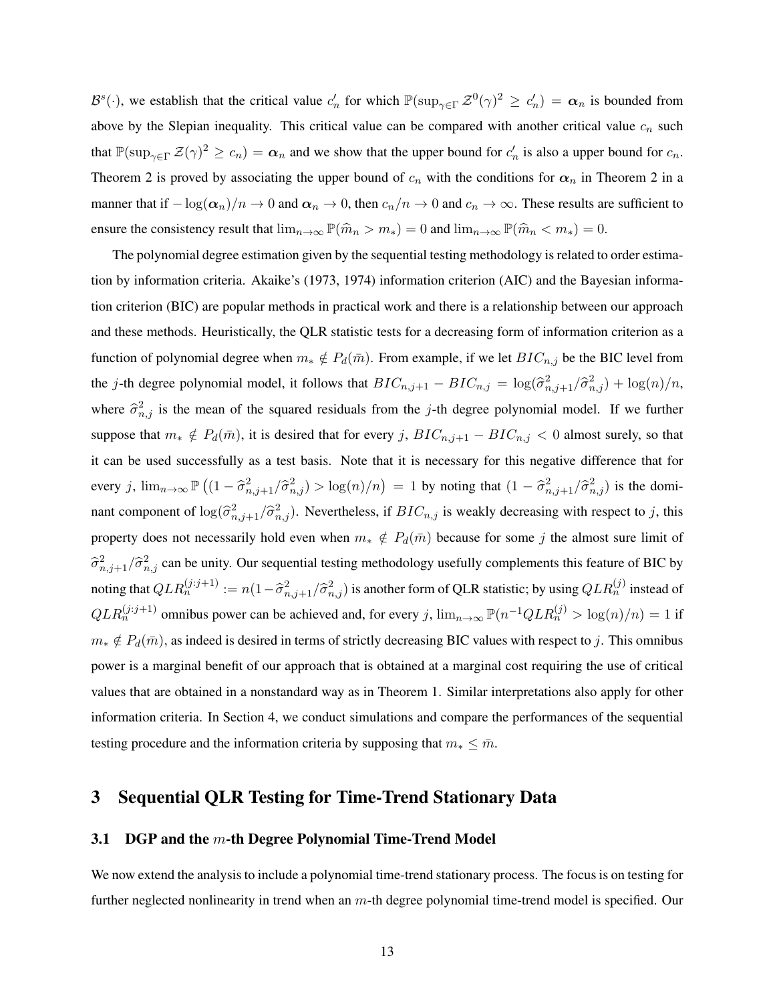$\mathcal{B}^s(\cdot)$ , we establish that the critical value  $c'_n$  for which  $\mathbb{P}(\sup_{\gamma \in \Gamma} \mathcal{Z}^0(\gamma)^2 \geq c'_n) = \alpha_n$  is bounded from above by the Slepian inequality. This critical value can be compared with another critical value  $c_n$  such that  $\mathbb{P}(\sup_{\gamma \in \Gamma} \mathcal{Z}(\gamma)^2 \geq c_n) = \alpha_n$  and we show that the upper bound for  $c'_n$  is also a upper bound for  $c_n$ . Theorem 2 is proved by associating the upper bound of  $c_n$  with the conditions for  $\alpha_n$  in Theorem 2 in a manner that if  $-\log(\alpha_n)/n \to 0$  and  $\alpha_n \to 0$ , then  $c_n/n \to 0$  and  $c_n \to \infty$ . These results are sufficient to ensure the consistency result that  $\lim_{n\to\infty} \mathbb{P}(\hat{m}_n > m_*) = 0$  and  $\lim_{n\to\infty} \mathbb{P}(\hat{m}_n < m_*) = 0$ .

The polynomial degree estimation given by the sequential testing methodology is related to order estimation by information criteria. Akaike's (1973, 1974) information criterion (AIC) and the Bayesian information criterion (BIC) are popular methods in practical work and there is a relationship between our approach and these methods. Heuristically, the QLR statistic tests for a decreasing form of information criterion as a function of polynomial degree when  $m_* \notin P_d(\bar{m})$ . From example, if we let  $BIC_{n,j}$  be the BIC level from the *j*-th degree polynomial model, it follows that  $BIC_{n,j+1} - BIC_{n,j} = \log(\hat{\sigma}_{n,j+1}^2/\hat{\sigma}_{n,j}^2) + \log(n)/n$ , where  $\hat{\sigma}_{n,j}^2$  is the mean of the squared residuals from the j-th degree polynomial model. If we further suppose that  $m_* \notin P_d(\bar{m})$ , it is desired that for every j,  $BIC_{n,j+1} - BIC_{n,j} < 0$  almost surely, so that it can be used successfully as a test basis. Note that it is necessary for this negative difference that for every j,  $\lim_{n\to\infty} \mathbb{P}\left((1-\hat{\sigma}_{n,j+1}^2/\hat{\sigma}_{n,j}^2) > \log(n)/n\right) = 1$  by noting that  $(1-\hat{\sigma}_{n,j+1}^2/\hat{\sigma}_{n,j}^2)$  is the dominant component of  $\log(\hat{\sigma}_{n,j+1}^2/\hat{\sigma}_{n,j}^2)$ . Nevertheless, if  $BIC_{n,j}$  is weakly decreasing with respect to j, this property does not necessarily hold even when  $m_* \notin P_d(\bar{m})$  because for some j the almost sure limit of  $\hat{\sigma}_{n,j+1}^2/\hat{\sigma}_{n,j}^2$  can be unity. Our sequential testing methodology usefully complements this feature of BIC by noting that  $QLR_n^{(j:j+1)} := n(1-\hat{\sigma}_{n,j+1}^2/\hat{\sigma}_{n,j}^2)$  is another form of QLR statistic; by using  $QLR_n^{(j)}$  instead of  $QLR_n^{(j:j+1)}$  omnibus power can be achieved and, for every j,  $\lim_{n\to\infty} \mathbb{P}(n^{-1}QLR_n^{(j)}) > \log(n)/n) = 1$  if  $m_* \notin P_d(\bar{m})$ , as indeed is desired in terms of strictly decreasing BIC values with respect to j. This omnibus power is a marginal benefit of our approach that is obtained at a marginal cost requiring the use of critical values that are obtained in a nonstandard way as in Theorem 1. Similar interpretations also apply for other information criteria. In Section 4, we conduct simulations and compare the performances of the sequential testing procedure and the information criteria by supposing that  $m_* \leq \bar{m}$ .

# 3 Sequential QLR Testing for Time-Trend Stationary Data

### 3.1 DGP and the  $m$ -th Degree Polynomial Time-Trend Model

We now extend the analysis to include a polynomial time-trend stationary process. The focus is on testing for further neglected nonlinearity in trend when an  $m$ -th degree polynomial time-trend model is specified. Our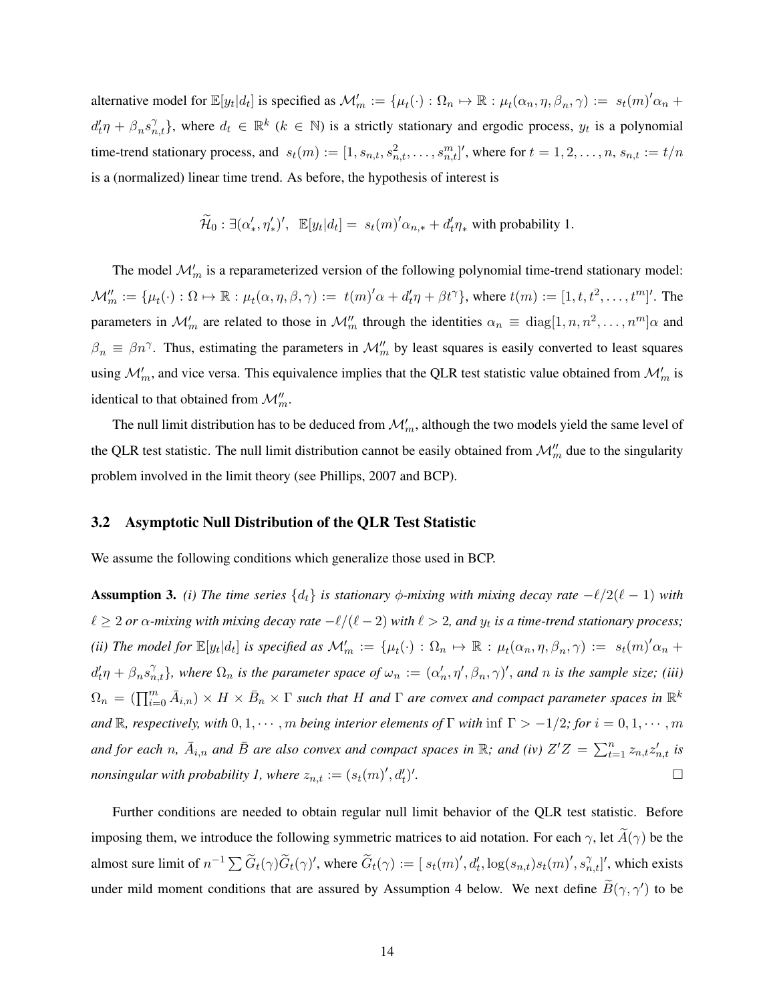alternative model for  $\mathbb{E}[y_t|d_t]$  is specified as  $\mathcal{M}'_m := \{\mu_t(\cdot) : \Omega_n \mapsto \mathbb{R} : \mu_t(\alpha_n, \eta, \beta_n, \gamma) := s_t(m)\' \alpha_n +$  $d_t^{\prime} \eta + \beta_n s_{n,t}^{\gamma}$ , where  $d_t \in \mathbb{R}^k$  ( $k \in \mathbb{N}$ ) is a strictly stationary and ergodic process,  $y_t$  is a polynomial time-trend stationary process, and  $s_t(m) := [1, s_{n,t}, s_{n,t}^2, \dots, s_{n,t}^m]'$ , where for  $t = 1, 2, \dots, n$ ,  $s_{n,t} := t/n$ is a (normalized) linear time trend. As before, the hypothesis of interest is

$$
\widetilde{\mathcal{H}}_0: \exists (\alpha'_*, \eta'_*)', \ \ \mathbb{E}[y_t | d_t] = s_t(m)' \alpha_{n,*} + d'_t \eta_* \text{ with probability 1.}
$$

The model  $\mathcal{M}'_m$  is a reparameterized version of the following polynomial time-trend stationary model:  $\mathcal{M}_m^{\prime\prime} := \{\mu_t(\cdot) : \Omega \mapsto \mathbb{R} : \mu_t(\alpha, \eta, \beta, \gamma) := t(m)'\alpha + d_t'\eta + \beta t^{\gamma}\},\$  where  $t(m) := [1, t, t^2, \dots, t^m]'.$  The parameters in  $M'_m$  are related to those in  $M''_m$  through the identities  $\alpha_n \equiv \text{diag}[1, n, n^2, \dots, n^m] \alpha$  and  $\beta_n \equiv \beta n^\gamma$ . Thus, estimating the parameters in  $\mathcal{M}'_m$  by least squares is easily converted to least squares using  $\mathcal{M}'_m$ , and vice versa. This equivalence implies that the QLR test statistic value obtained from  $\mathcal{M}'_m$  is identical to that obtained from  $\mathcal{M}''_m$ .

The null limit distribution has to be deduced from  $\mathcal{M}'_m$ , although the two models yield the same level of the QLR test statistic. The null limit distribution cannot be easily obtained from  $\mathcal{M}_m''$  due to the singularity problem involved in the limit theory (see Phillips, 2007 and BCP).

### 3.2 Asymptotic Null Distribution of the QLR Test Statistic

We assume the following conditions which generalize those used in BCP.

**Assumption 3.** *(i) The time series*  $\{d_t\}$  *is stationary*  $\phi$ *-mixing with mixing decay rate*  $-\ell/2(\ell - 1)$  *with*  $\ell \ge 2$  *or*  $\alpha$ -mixing with mixing decay rate  $-\ell/(\ell - 2)$  with  $\ell > 2$ , and  $y_t$  is a time-trend stationary process; (*ii*) The model for  $\mathbb{E}[y_t|d_t]$  is specified as  $\mathcal{M}'_m := \{\mu_t(\cdot) : \Omega_n \mapsto \mathbb{R} : \mu_t(\alpha_n, \eta, \beta_n, \gamma) := s_t(m)'\alpha_n +$  $d'_t\eta + \beta_ns_{n,t}^{\gamma}$ , where  $\Omega_n$  is the parameter space of  $\omega_n := (\alpha'_n, \eta', \beta_n, \gamma)'$ , and n is the sample size; (iii)  $\Omega_n = (\prod_{i=0}^m \bar{A}_{i,n})\times H\times \bar{B}_n \times \Gamma$  such that  $H$  and  $\Gamma$  are convex and compact parameter spaces in  $\mathbb{R}^k$ *and*  $\mathbb{R}$ *, respectively, with*  $0, 1, \dots, m$  *being interior elements of*  $\Gamma$  *with* inf  $\Gamma > -1/2$ *; for*  $i = 0, 1, \dots, m$ and for each n,  $\bar{A}_{i,n}$  and  $\bar{B}$  are also convex and compact spaces in  $\mathbb{R}$ ; and (iv)  $Z'Z = \sum_{t=1}^{n} z_{n,t} z'_{n,t}$  is nonsingular with probability 1, where  $z_{n,t} := (s_t(m)', d'_t)'$ *.*

Further conditions are needed to obtain regular null limit behavior of the QLR test statistic. Before imposing them, we introduce the following symmetric matrices to aid notation. For each  $\gamma$ , let  $\tilde{A}(\gamma)$  be the almost sure limit of  $n^{-1} \sum \widetilde{G}_t(\gamma) \widetilde{G}_t(\gamma)'$ , where  $\widetilde{G}_t(\gamma) := [s_t(m)', d'_t, \log(s_{n,t}) s_t(m)', s_{n,t}^\gamma]'$ , which exists under mild moment conditions that are assured by Assumption 4 below. We next define  $\widetilde{B}(\gamma, \gamma')$  to be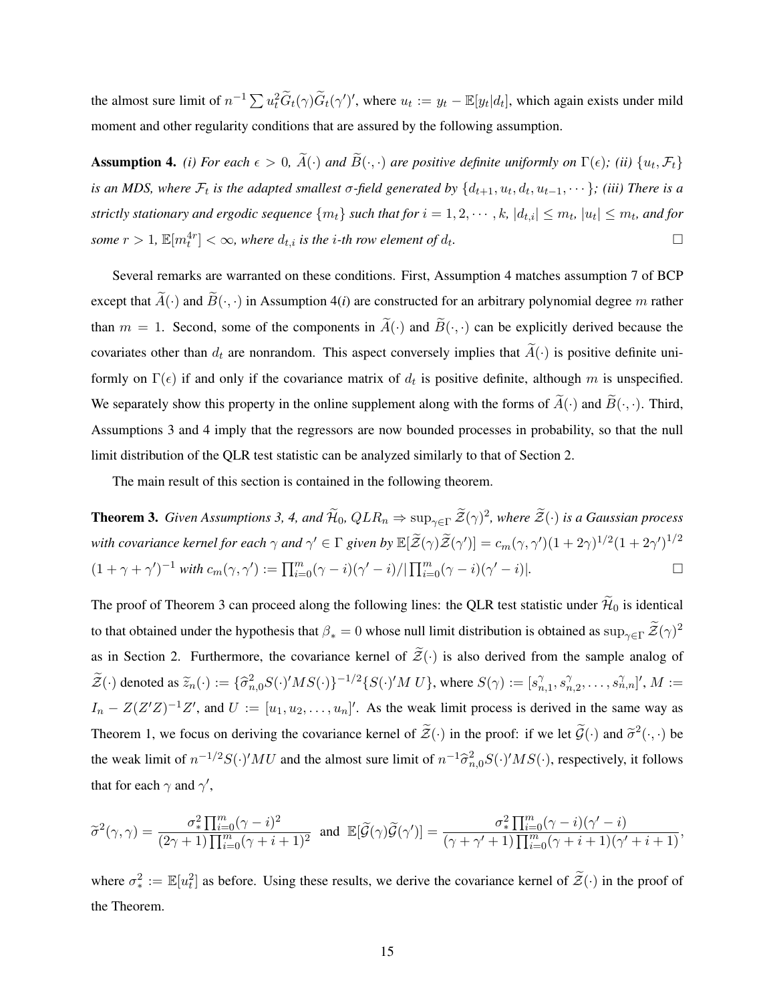the almost sure limit of  $n^{-1} \sum u_t^2 \widetilde{G}_t(\gamma) \widetilde{G}_t(\gamma')'$ , where  $u_t := y_t - \mathbb{E}[y_t|d_t]$ , which again exists under mild moment and other regularity conditions that are assured by the following assumption.

**Assumption 4.** *(i)* For each  $\epsilon > 0$ ,  $A(\cdot)$  and  $B(\cdot, \cdot)$  are positive definite uniformly on  $\Gamma(\epsilon)$ ; *(ii)*  $\{u_t, \mathcal{F}_t\}$ *is an MDS, where*  $\mathcal{F}_t$  *is the adapted smallest*  $\sigma$ -field generated by  $\{d_{t+1}, u_t, d_t, u_{t-1}, \cdots\}$ ; (iii) There is a strictly stationary and ergodic sequence  $\{m_t\}$  such that for  $i=1,2,\cdots,k$ ,  $|d_{t,i}|\le m_t$ ,  $|u_t|\le m_t$ , and for some  $r > 1$ ,  $\mathbb{E}[m_t^{4r}] < \infty$ , where  $d_{t,i}$  is the *i*-th row element of  $d_t$ *.*

Several remarks are warranted on these conditions. First, Assumption 4 matches assumption 7 of BCP except that  $\widetilde{A}(\cdot)$  and  $\widetilde{B}(\cdot, \cdot)$  in Assumption 4(*i*) are constructed for an arbitrary polynomial degree m rather than  $m = 1$ . Second, some of the components in  $\widetilde{A}(\cdot)$  and  $\widetilde{B}(\cdot, \cdot)$  can be explicitly derived because the covariates other than  $d_t$  are nonrandom. This aspect conversely implies that  $\widetilde{A}(\cdot)$  is positive definite uniformly on  $\Gamma(\epsilon)$  if and only if the covariance matrix of  $d_t$  is positive definite, although m is unspecified. We separately show this property in the online supplement along with the forms of  $\widetilde{A}(\cdot)$  and  $\widetilde{B}(\cdot,\cdot)$ . Third, Assumptions 3 and 4 imply that the regressors are now bounded processes in probability, so that the null limit distribution of the QLR test statistic can be analyzed similarly to that of Section 2.

The main result of this section is contained in the following theorem.

**Theorem 3.** *Given Assumptions 3, 4, and*  $\widetilde{\mathcal{H}}_0$ ,  $QLR_n \Rightarrow \sup_{\gamma \in \Gamma} \widetilde{\mathcal{Z}}(\gamma)^2$ , where  $\widetilde{\mathcal{Z}}(\cdot)$  is a Gaussian process with covariance kernel for each  $\gamma$  and  $\gamma'\in \Gamma$  given by  $\mathbb{E}[\widetilde{\mathcal{Z}}(\gamma)\widetilde{\mathcal{Z}}(\gamma')] = c_m(\gamma,\gamma')(1+2\gamma)^{1/2}(1+2\gamma')^{1/2}$  $(1 + \gamma + \gamma')^{-1}$  *with*  $c_m(\gamma, \gamma') := \prod_{i=0}^m (\gamma - i)(\gamma' - i) / |\prod_{i=0}^m (\gamma - i)(\gamma' - i)|$ .

The proof of Theorem 3 can proceed along the following lines: the QLR test statistic under  $\widetilde{\mathcal{H}}_0$  is identical to that obtained under the hypothesis that  $\beta_*=0$  whose null limit distribution is obtained as  $\sup_{\gamma\in\Gamma}\tilde{\mathcal{Z}}(\gamma)^2$ as in Section 2. Furthermore, the covariance kernel of  $\widetilde{\mathcal{Z}}(\cdot)$  is also derived from the sample analog of  $\widetilde{\mathcal{Z}}(\cdot)$  denoted as  $\widetilde{z}_n(\cdot) := \{\widehat{\sigma}_{n,0}^2 S(\cdot)' M S(\cdot)\}^{-1/2} \{S(\cdot)' M U\}$ , where  $S(\gamma) := [s_n^2]$  $\hat{r}_{n,1}^{\gamma}, s_n^{\gamma}$  $\alpha_{n,2}^{\gamma},\ldots,\hat{s_{n,n}}]'$ ,  $M :=$  $I_n - Z(Z'Z)^{-1}Z'$ , and  $U := [u_1, u_2, \dots, u_n]'$ . As the weak limit process is derived in the same way as Theorem 1, we focus on deriving the covariance kernel of  $\tilde{Z}(\cdot)$  in the proof: if we let  $\tilde{G}(\cdot)$  and  $\tilde{\sigma}^2(\cdot,\cdot)$  be the weak limit of  $n^{-1/2}S(\cdot)'MU$  and the almost sure limit of  $n^{-1}\hat{\sigma}_{n,0}^2S(\cdot)'MS(\cdot)$ , respectively, it follows that for each  $\gamma$  and  $\gamma'$ ,

$$
\widetilde{\sigma}^2(\gamma,\gamma)=\frac{\sigma^2_*\prod_{i=0}^m(\gamma-i)^2}{(2\gamma+1)\prod_{i=0}^m(\gamma+i+1)^2}\ \, \text{and}\ \, \mathbb{E}[\widetilde{\mathcal{G}}(\gamma)\widetilde{\mathcal{G}}(\gamma')]=\frac{\sigma^2_*\prod_{i=0}^m(\gamma-i)(\gamma'-i)}{(\gamma+\gamma'+1)\prod_{i=0}^m(\gamma+i+1)(\gamma'+i+1)},
$$

where  $\sigma^2_* := \mathbb{E}[u_t^2]$  as before. Using these results, we derive the covariance kernel of  $\tilde{\mathcal{Z}}(\cdot)$  in the proof of the Theorem.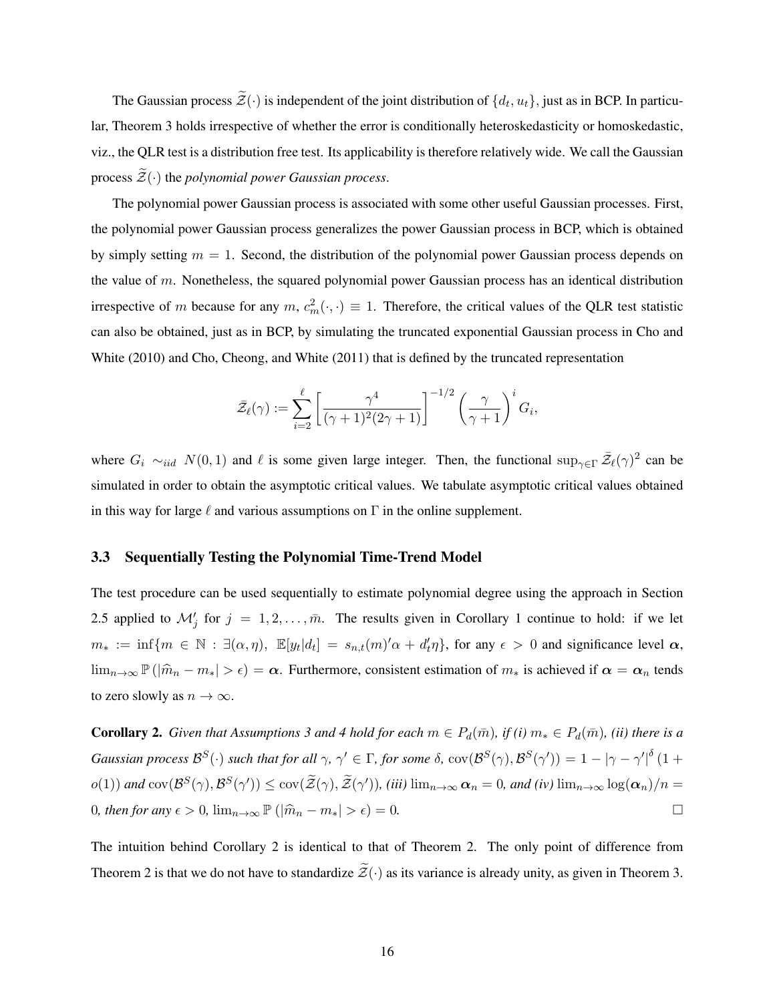The Gaussian process  $\mathcal{Z}(\cdot)$  is independent of the joint distribution of  $\{d_t, u_t\}$ , just as in BCP. In particular, Theorem 3 holds irrespective of whether the error is conditionally heteroskedasticity or homoskedastic, viz., the QLR test is a distribution free test. Its applicability is therefore relatively wide. We call the Gaussian process  $\widetilde{\mathcal{Z}}(\cdot)$  the *polynomial power Gaussian process*.

The polynomial power Gaussian process is associated with some other useful Gaussian processes. First, the polynomial power Gaussian process generalizes the power Gaussian process in BCP, which is obtained by simply setting  $m = 1$ . Second, the distribution of the polynomial power Gaussian process depends on the value of m. Nonetheless, the squared polynomial power Gaussian process has an identical distribution irrespective of m because for any  $m, c_m^2(\cdot, \cdot) \equiv 1$ . Therefore, the critical values of the QLR test statistic can also be obtained, just as in BCP, by simulating the truncated exponential Gaussian process in Cho and White (2010) and Cho, Cheong, and White (2011) that is defined by the truncated representation

$$
\bar{\mathcal{Z}}_{\ell}(\gamma) := \sum_{i=2}^{\ell} \left[ \frac{\gamma^4}{(\gamma+1)^2(2\gamma+1)} \right]^{-1/2} \left( \frac{\gamma}{\gamma+1} \right)^i G_i,
$$

where  $G_i \sim_{iid} N(0, 1)$  and  $\ell$  is some given large integer. Then, the functional  $\sup_{\gamma \in \Gamma} \bar{\mathcal{Z}}_{\ell}(\gamma)^2$  can be simulated in order to obtain the asymptotic critical values. We tabulate asymptotic critical values obtained in this way for large  $\ell$  and various assumptions on  $\Gamma$  in the online supplement.

### 3.3 Sequentially Testing the Polynomial Time-Trend Model

The test procedure can be used sequentially to estimate polynomial degree using the approach in Section 2.5 applied to  $\mathcal{M}'_j$  for  $j = 1, 2, \ldots, \bar{m}$ . The results given in Corollary 1 continue to hold: if we let  $m_* := \inf \{ m \in \mathbb{N} : \exists (\alpha, \eta), \ \mathbb{E}[y_t | d_t] = s_{n,t}(m)'(\alpha + d'_t \eta) \}$ , for any  $\epsilon > 0$  and significance level  $\alpha$ ,  $\lim_{n\to\infty} \mathbb{P}(\hat{m}_n - m_*) > \epsilon$  =  $\alpha$ . Furthermore, consistent estimation of  $m_*$  is achieved if  $\alpha = \alpha_n$  tends to zero slowly as  $n \to \infty$ .

**Corollary 2.** *Given that Assumptions 3 and 4 hold for each*  $m \in P_d(\bar{m})$ *, if (i)*  $m_* \in P_d(\bar{m})$ *, (ii) there is a Gaussian process*  $\mathcal{B}^S(\cdot)$  *such that for all*  $\gamma$ ,  $\gamma' \in \Gamma$ , for some  $\delta$ ,  $\text{cov}(\mathcal{B}^S(\gamma), \mathcal{B}^S(\gamma')) = 1 - |\gamma - \gamma'|^{\delta}$  (1+  $o(1)$ ) and  $\text{cov}(\mathcal{B}^S(\gamma),\mathcal{B}^S(\gamma')) \leq \text{cov}(\widetilde{\mathcal{Z}}(\gamma),\widetilde{\mathcal{Z}}(\gamma'))$ , *(iii)*  $\lim_{n\to\infty} \alpha_n = 0$ , and *(iv)*  $\lim_{n\to\infty} \log(\alpha_n)/n =$ 0*, then for any*  $\epsilon > 0$ *,*  $\lim_{n \to \infty} \mathbb{P} \left( |\hat{m}_n - m_*| > \epsilon \right) = 0$ .

The intuition behind Corollary 2 is identical to that of Theorem 2. The only point of difference from Theorem 2 is that we do not have to standardize  $\widetilde{\mathcal{Z}}(\cdot)$  as its variance is already unity, as given in Theorem 3.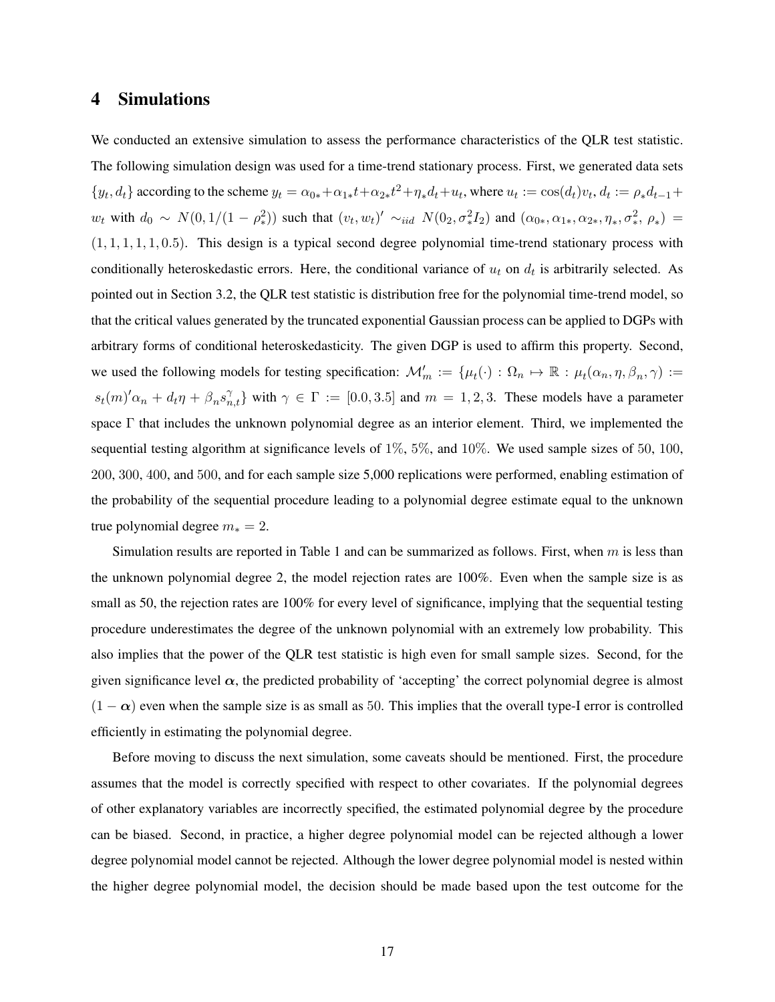### 4 Simulations

We conducted an extensive simulation to assess the performance characteristics of the QLR test statistic. The following simulation design was used for a time-trend stationary process. First, we generated data sets  $\{y_t, d_t\}$  according to the scheme  $y_t = \alpha_{0*} + \alpha_{1*}t + \alpha_{2*}t^2 + \eta_*d_t + u_t$ , where  $u_t := \cos(d_t)v_t, d_t := \rho_*d_{t-1} +$  $w_t$  with  $d_0 \sim N(0, 1/(1 - \rho_*^2))$  such that  $(v_t, w_t)' \sim_{iid} N(0_2, \sigma_*^2 I_2)$  and  $(\alpha_{0*}, \alpha_{1*}, \alpha_{2*}, \eta_*, \sigma_*^2, \rho_*) =$  $(1, 1, 1, 1, 1, 0.5)$ . This design is a typical second degree polynomial time-trend stationary process with conditionally heteroskedastic errors. Here, the conditional variance of  $u_t$  on  $d_t$  is arbitrarily selected. As pointed out in Section 3.2, the QLR test statistic is distribution free for the polynomial time-trend model, so that the critical values generated by the truncated exponential Gaussian process can be applied to DGPs with arbitrary forms of conditional heteroskedasticity. The given DGP is used to affirm this property. Second, we used the following models for testing specification:  $\mathcal{M}'_m := \{\mu_t(\cdot) : \Omega_n \mapsto \mathbb{R} : \mu_t(\alpha_n, \eta, \beta_n, \gamma) :=$  $s_t(m)'\alpha_n + d_t\eta + \beta_n s_{n,t}^{\gamma}$  with  $\gamma \in \Gamma := [0.0, 3.5]$  and  $m = 1, 2, 3$ . These models have a parameter space Γ that includes the unknown polynomial degree as an interior element. Third, we implemented the sequential testing algorithm at significance levels of 1%, 5%, and 10%. We used sample sizes of 50, 100, 200, 300, 400, and 500, and for each sample size 5,000 replications were performed, enabling estimation of the probability of the sequential procedure leading to a polynomial degree estimate equal to the unknown true polynomial degree  $m_* = 2$ .

Simulation results are reported in Table 1 and can be summarized as follows. First, when  $m$  is less than the unknown polynomial degree 2, the model rejection rates are 100%. Even when the sample size is as small as 50, the rejection rates are 100% for every level of significance, implying that the sequential testing procedure underestimates the degree of the unknown polynomial with an extremely low probability. This also implies that the power of the QLR test statistic is high even for small sample sizes. Second, for the given significance level  $\alpha$ , the predicted probability of 'accepting' the correct polynomial degree is almost  $(1 - \alpha)$  even when the sample size is as small as 50. This implies that the overall type-I error is controlled efficiently in estimating the polynomial degree.

Before moving to discuss the next simulation, some caveats should be mentioned. First, the procedure assumes that the model is correctly specified with respect to other covariates. If the polynomial degrees of other explanatory variables are incorrectly specified, the estimated polynomial degree by the procedure can be biased. Second, in practice, a higher degree polynomial model can be rejected although a lower degree polynomial model cannot be rejected. Although the lower degree polynomial model is nested within the higher degree polynomial model, the decision should be made based upon the test outcome for the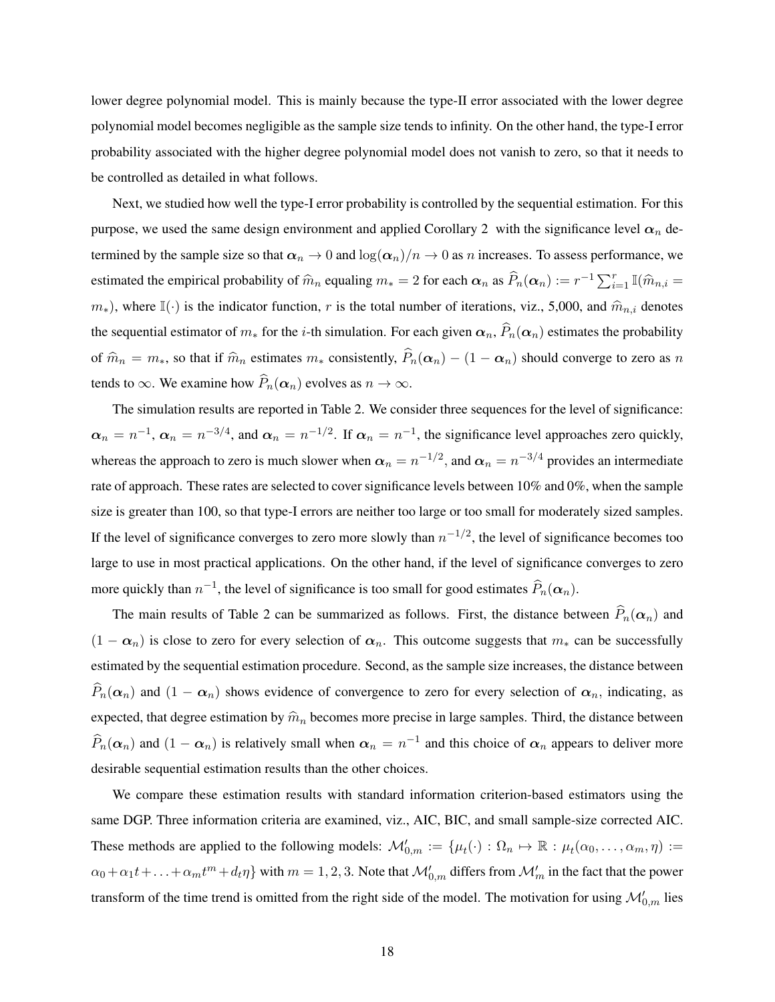lower degree polynomial model. This is mainly because the type-II error associated with the lower degree polynomial model becomes negligible as the sample size tends to infinity. On the other hand, the type-I error probability associated with the higher degree polynomial model does not vanish to zero, so that it needs to be controlled as detailed in what follows.

Next, we studied how well the type-I error probability is controlled by the sequential estimation. For this purpose, we used the same design environment and applied Corollary 2 with the significance level  $\alpha_n$  determined by the sample size so that  $\alpha_n \to 0$  and  $\log(\alpha_n)/n \to 0$  as n increases. To assess performance, we estimated the empirical probability of  $\hat{m}_n$  equaling  $m_* = 2$  for each  $\alpha_n$  as  $\hat{P}_n(\alpha_n) := r^{-1} \sum_{i=1}^r \mathbb{I}(\hat{m}_{n,i} =$  $m<sub>*</sub>$ ), where I(·) is the indicator function, r is the total number of iterations, viz., 5,000, and  $\hat{m}_{n,i}$  denotes the sequential estimator of  $m_*$  for the *i*-th simulation. For each given  $\alpha_n$ ,  $\widehat{P}_n(\alpha_n)$  estimates the probability of  $\hat{m}_n = m_*$ , so that if  $\hat{m}_n$  estimates  $m_*$  consistently,  $\hat{P}_n(\alpha_n) - (1 - \alpha_n)$  should converge to zero as n tends to  $\infty$ . We examine how  $\widehat{P}_n(\alpha_n)$  evolves as  $n \to \infty$ .

The simulation results are reported in Table 2. We consider three sequences for the level of significance:  $\alpha_n = n^{-1}$ ,  $\alpha_n = n^{-3/4}$ , and  $\alpha_n = n^{-1/2}$ . If  $\alpha_n = n^{-1}$ , the significance level approaches zero quickly, whereas the approach to zero is much slower when  $\alpha_n = n^{-1/2}$ , and  $\alpha_n = n^{-3/4}$  provides an intermediate rate of approach. These rates are selected to cover significance levels between 10% and 0%, when the sample size is greater than 100, so that type-I errors are neither too large or too small for moderately sized samples. If the level of significance converges to zero more slowly than  $n^{-1/2}$ , the level of significance becomes too large to use in most practical applications. On the other hand, if the level of significance converges to zero more quickly than  $n^{-1}$ , the level of significance is too small for good estimates  $\widehat{P}_n(\boldsymbol{\alpha}_n)$ .

The main results of Table 2 can be summarized as follows. First, the distance between  $\hat{P}_n(\alpha_n)$  and  $(1 - \alpha_n)$  is close to zero for every selection of  $\alpha_n$ . This outcome suggests that  $m_*$  can be successfully estimated by the sequential estimation procedure. Second, as the sample size increases, the distance between  $\widehat{P}_n(\alpha_n)$  and  $(1 - \alpha_n)$  shows evidence of convergence to zero for every selection of  $\alpha_n$ , indicating, as expected, that degree estimation by  $\hat{m}_n$  becomes more precise in large samples. Third, the distance between  $\widehat{P}_n(\alpha_n)$  and  $(1-\alpha_n)$  is relatively small when  $\alpha_n = n^{-1}$  and this choice of  $\alpha_n$  appears to deliver more desirable sequential estimation results than the other choices.

We compare these estimation results with standard information criterion-based estimators using the same DGP. Three information criteria are examined, viz., AIC, BIC, and small sample-size corrected AIC. These methods are applied to the following models:  $\mathcal{M}'_{0,m} := \{\mu_t(\cdot) : \Omega_n \mapsto \mathbb{R} : \mu_t(\alpha_0, \dots, \alpha_m, \eta) :=$  $\alpha_0 + \alpha_1 t + \ldots + \alpha_m t^m + d_t \eta$  with  $m = 1, 2, 3$ . Note that  $\mathcal{M}'_{0,m}$  differs from  $\mathcal{M}'_m$  in the fact that the power transform of the time trend is omitted from the right side of the model. The motivation for using  $\mathcal{M}'_{0,m}$  lies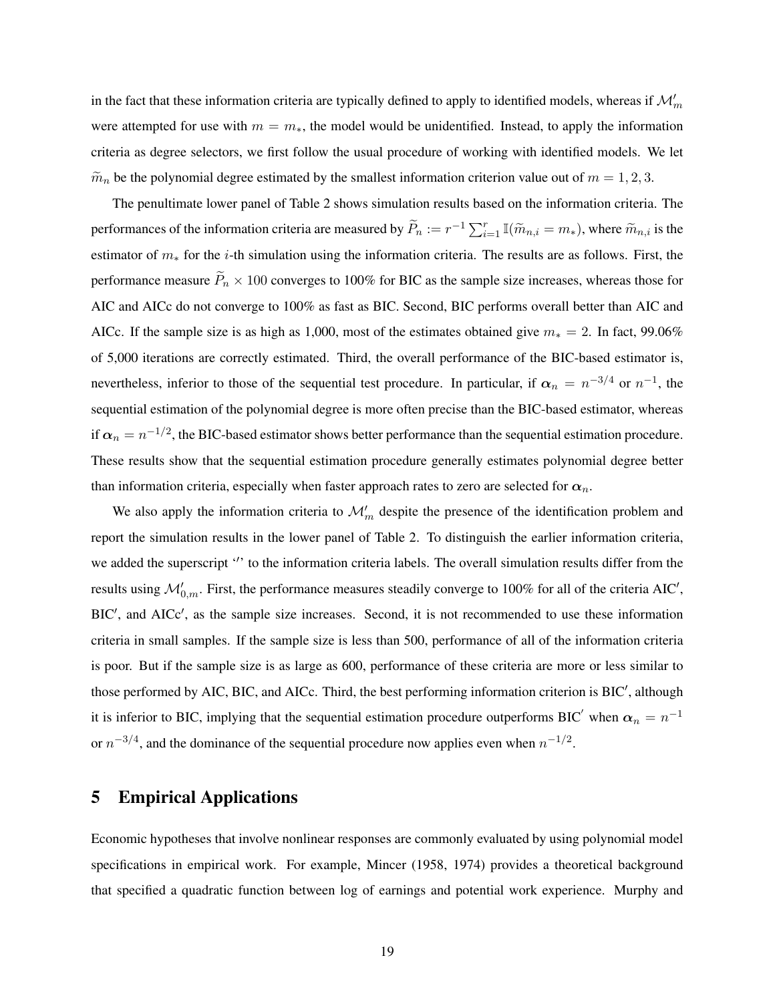in the fact that these information criteria are typically defined to apply to identified models, whereas if  $\mathcal{M}'_m$ were attempted for use with  $m = m_*$ , the model would be unidentified. Instead, to apply the information criteria as degree selectors, we first follow the usual procedure of working with identified models. We let  $\widetilde{m}_n$  be the polynomial degree estimated by the smallest information criterion value out of  $m = 1, 2, 3$ .

The penultimate lower panel of Table 2 shows simulation results based on the information criteria. The performances of the information criteria are measured by  $\widetilde{P}_n := r^{-1} \sum_{i=1}^r \mathbb{I}(\widetilde{m}_{n,i} = m_*)$ , where  $\widetilde{m}_{n,i}$  is the estimator of m<sup>∗</sup> for the i-th simulation using the information criteria. The results are as follows. First, the performance measure  $\widetilde{P}_n \times 100$  converges to 100% for BIC as the sample size increases, whereas those for AIC and AICc do not converge to 100% as fast as BIC. Second, BIC performs overall better than AIC and AICc. If the sample size is as high as 1,000, most of the estimates obtained give  $m_* = 2$ . In fact, 99.06% of 5,000 iterations are correctly estimated. Third, the overall performance of the BIC-based estimator is, nevertheless, inferior to those of the sequential test procedure. In particular, if  $\alpha_n = n^{-3/4}$  or  $n^{-1}$ , the sequential estimation of the polynomial degree is more often precise than the BIC-based estimator, whereas if  $\alpha_n = n^{-1/2}$ , the BIC-based estimator shows better performance than the sequential estimation procedure. These results show that the sequential estimation procedure generally estimates polynomial degree better than information criteria, especially when faster approach rates to zero are selected for  $\alpha_n$ .

We also apply the information criteria to  $\mathcal{M}'_m$  despite the presence of the identification problem and report the simulation results in the lower panel of Table 2. To distinguish the earlier information criteria, we added the superscript " to the information criteria labels. The overall simulation results differ from the results using  $\mathcal{M}'_{0,m}$ . First, the performance measures steadily converge to 100% for all of the criteria AIC', BIC', and AICc', as the sample size increases. Second, it is not recommended to use these information criteria in small samples. If the sample size is less than 500, performance of all of the information criteria is poor. But if the sample size is as large as 600, performance of these criteria are more or less similar to those performed by AIC, BIC, and AICc. Third, the best performing information criterion is BIC', although it is inferior to BIC, implying that the sequential estimation procedure outperforms BIC<sup>'</sup> when  $\alpha_n = n^{-1}$ or  $n^{-3/4}$ , and the dominance of the sequential procedure now applies even when  $n^{-1/2}$ .

# 5 Empirical Applications

Economic hypotheses that involve nonlinear responses are commonly evaluated by using polynomial model specifications in empirical work. For example, Mincer (1958, 1974) provides a theoretical background that specified a quadratic function between log of earnings and potential work experience. Murphy and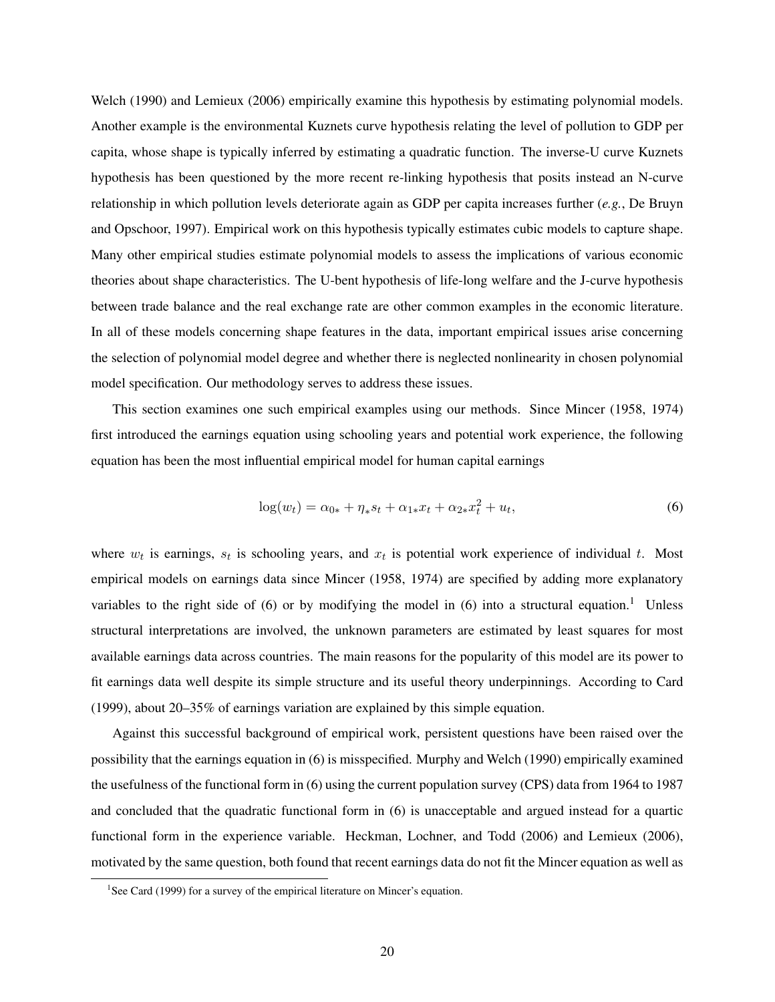Welch (1990) and Lemieux (2006) empirically examine this hypothesis by estimating polynomial models. Another example is the environmental Kuznets curve hypothesis relating the level of pollution to GDP per capita, whose shape is typically inferred by estimating a quadratic function. The inverse-U curve Kuznets hypothesis has been questioned by the more recent re-linking hypothesis that posits instead an N-curve relationship in which pollution levels deteriorate again as GDP per capita increases further (*e.g.*, De Bruyn and Opschoor, 1997). Empirical work on this hypothesis typically estimates cubic models to capture shape. Many other empirical studies estimate polynomial models to assess the implications of various economic theories about shape characteristics. The U-bent hypothesis of life-long welfare and the J-curve hypothesis between trade balance and the real exchange rate are other common examples in the economic literature. In all of these models concerning shape features in the data, important empirical issues arise concerning the selection of polynomial model degree and whether there is neglected nonlinearity in chosen polynomial model specification. Our methodology serves to address these issues.

This section examines one such empirical examples using our methods. Since Mincer (1958, 1974) first introduced the earnings equation using schooling years and potential work experience, the following equation has been the most influential empirical model for human capital earnings

$$
\log(w_t) = \alpha_{0*} + \eta_* s_t + \alpha_{1*} x_t + \alpha_{2*} x_t^2 + u_t, \tag{6}
$$

where  $w_t$  is earnings,  $s_t$  is schooling years, and  $x_t$  is potential work experience of individual t. Most empirical models on earnings data since Mincer (1958, 1974) are specified by adding more explanatory variables to the right side of  $(6)$  or by modifying the model in  $(6)$  into a structural equation.<sup>1</sup> Unless structural interpretations are involved, the unknown parameters are estimated by least squares for most available earnings data across countries. The main reasons for the popularity of this model are its power to fit earnings data well despite its simple structure and its useful theory underpinnings. According to Card (1999), about 20–35% of earnings variation are explained by this simple equation.

Against this successful background of empirical work, persistent questions have been raised over the possibility that the earnings equation in (6) is misspecified. Murphy and Welch (1990) empirically examined the usefulness of the functional form in (6) using the current population survey (CPS) data from 1964 to 1987 and concluded that the quadratic functional form in (6) is unacceptable and argued instead for a quartic functional form in the experience variable. Heckman, Lochner, and Todd (2006) and Lemieux (2006), motivated by the same question, both found that recent earnings data do not fit the Mincer equation as well as

<sup>&</sup>lt;sup>1</sup>See Card (1999) for a survey of the empirical literature on Mincer's equation.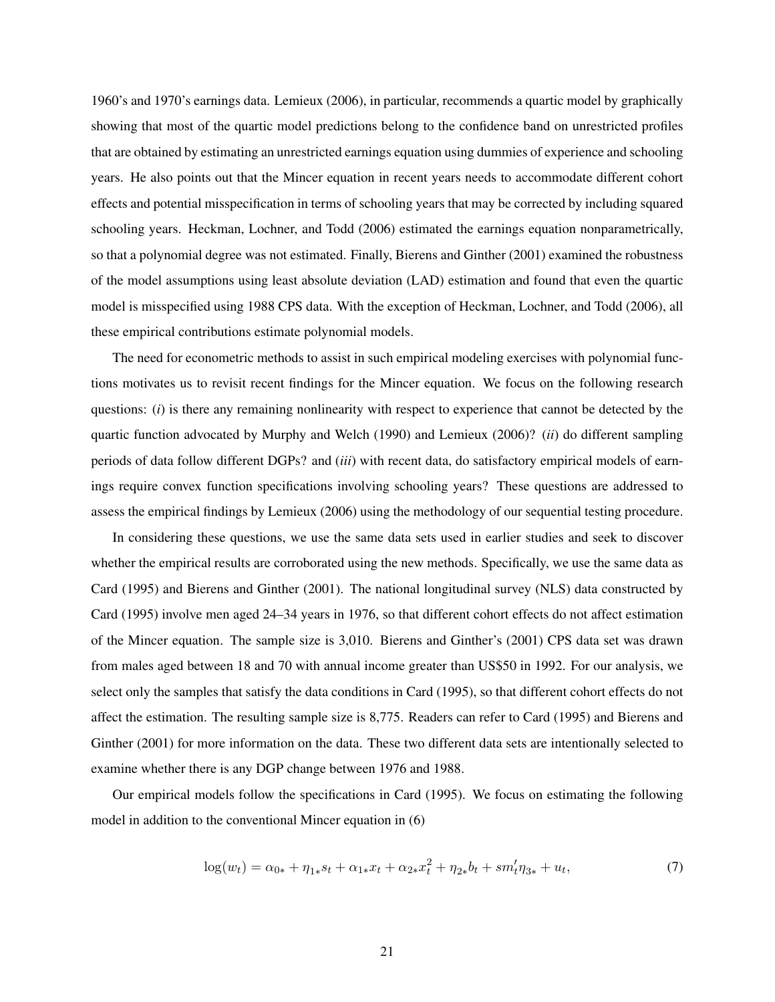1960's and 1970's earnings data. Lemieux (2006), in particular, recommends a quartic model by graphically showing that most of the quartic model predictions belong to the confidence band on unrestricted profiles that are obtained by estimating an unrestricted earnings equation using dummies of experience and schooling years. He also points out that the Mincer equation in recent years needs to accommodate different cohort effects and potential misspecification in terms of schooling years that may be corrected by including squared schooling years. Heckman, Lochner, and Todd (2006) estimated the earnings equation nonparametrically, so that a polynomial degree was not estimated. Finally, Bierens and Ginther (2001) examined the robustness of the model assumptions using least absolute deviation (LAD) estimation and found that even the quartic model is misspecified using 1988 CPS data. With the exception of Heckman, Lochner, and Todd (2006), all these empirical contributions estimate polynomial models.

The need for econometric methods to assist in such empirical modeling exercises with polynomial functions motivates us to revisit recent findings for the Mincer equation. We focus on the following research questions: *(i)* is there any remaining nonlinearity with respect to experience that cannot be detected by the quartic function advocated by Murphy and Welch (1990) and Lemieux (2006)? (*ii*) do different sampling periods of data follow different DGPs? and (*iii*) with recent data, do satisfactory empirical models of earnings require convex function specifications involving schooling years? These questions are addressed to assess the empirical findings by Lemieux (2006) using the methodology of our sequential testing procedure.

In considering these questions, we use the same data sets used in earlier studies and seek to discover whether the empirical results are corroborated using the new methods. Specifically, we use the same data as Card (1995) and Bierens and Ginther (2001). The national longitudinal survey (NLS) data constructed by Card (1995) involve men aged 24–34 years in 1976, so that different cohort effects do not affect estimation of the Mincer equation. The sample size is 3,010. Bierens and Ginther's (2001) CPS data set was drawn from males aged between 18 and 70 with annual income greater than US\$50 in 1992. For our analysis, we select only the samples that satisfy the data conditions in Card (1995), so that different cohort effects do not affect the estimation. The resulting sample size is 8,775. Readers can refer to Card (1995) and Bierens and Ginther (2001) for more information on the data. These two different data sets are intentionally selected to examine whether there is any DGP change between 1976 and 1988.

Our empirical models follow the specifications in Card (1995). We focus on estimating the following model in addition to the conventional Mincer equation in (6)

$$
\log(w_t) = \alpha_{0*} + \eta_{1*} s_t + \alpha_{1*} x_t + \alpha_{2*} x_t^2 + \eta_{2*} b_t + s m'_t \eta_{3*} + u_t,
$$
\n<sup>(7)</sup>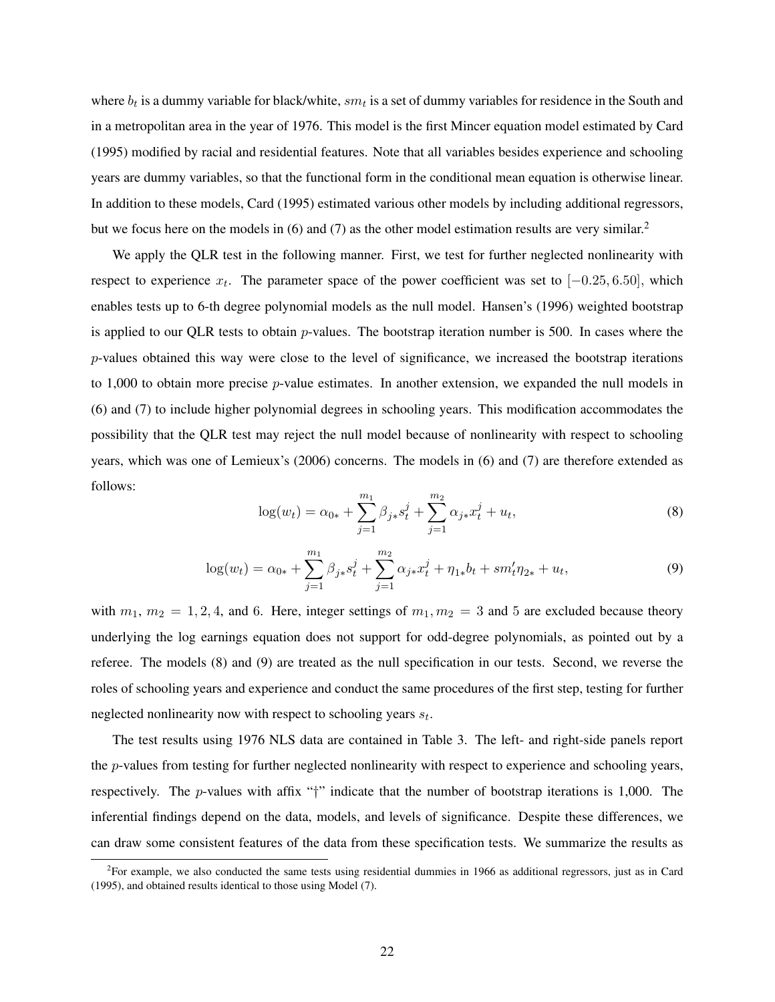where  $b_t$  is a dummy variable for black/white,  $sm_t$  is a set of dummy variables for residence in the South and in a metropolitan area in the year of 1976. This model is the first Mincer equation model estimated by Card (1995) modified by racial and residential features. Note that all variables besides experience and schooling years are dummy variables, so that the functional form in the conditional mean equation is otherwise linear. In addition to these models, Card (1995) estimated various other models by including additional regressors, but we focus here on the models in (6) and (7) as the other model estimation results are very similar.<sup>2</sup>

We apply the QLR test in the following manner. First, we test for further neglected nonlinearity with respect to experience  $x_t$ . The parameter space of the power coefficient was set to  $[-0.25, 6.50]$ , which enables tests up to 6-th degree polynomial models as the null model. Hansen's (1996) weighted bootstrap is applied to our QLR tests to obtain  $p$ -values. The bootstrap iteration number is 500. In cases where the p-values obtained this way were close to the level of significance, we increased the bootstrap iterations to 1,000 to obtain more precise p-value estimates. In another extension, we expanded the null models in (6) and (7) to include higher polynomial degrees in schooling years. This modification accommodates the possibility that the QLR test may reject the null model because of nonlinearity with respect to schooling years, which was one of Lemieux's (2006) concerns. The models in (6) and (7) are therefore extended as follows:

$$
\log(w_t) = \alpha_{0*} + \sum_{j=1}^{m_1} \beta_{j*} s_t^j + \sum_{j=1}^{m_2} \alpha_{j*} x_t^j + u_t,
$$
\n(8)

$$
\log(w_t) = \alpha_{0*} + \sum_{j=1}^{m_1} \beta_{j*} s_t^j + \sum_{j=1}^{m_2} \alpha_{j*} x_t^j + \eta_{1*} b_t + s m'_t \eta_{2*} + u_t,
$$
\n(9)

with  $m_1$ ,  $m_2 = 1, 2, 4$ , and 6. Here, integer settings of  $m_1, m_2 = 3$  and 5 are excluded because theory underlying the log earnings equation does not support for odd-degree polynomials, as pointed out by a referee. The models (8) and (9) are treated as the null specification in our tests. Second, we reverse the roles of schooling years and experience and conduct the same procedures of the first step, testing for further neglected nonlinearity now with respect to schooling years  $s_t$ .

The test results using 1976 NLS data are contained in Table 3. The left- and right-side panels report the *p*-values from testing for further neglected nonlinearity with respect to experience and schooling years, respectively. The p-values with affix "†" indicate that the number of bootstrap iterations is 1,000. The inferential findings depend on the data, models, and levels of significance. Despite these differences, we can draw some consistent features of the data from these specification tests. We summarize the results as

<sup>&</sup>lt;sup>2</sup>For example, we also conducted the same tests using residential dummies in 1966 as additional regressors, just as in Card (1995), and obtained results identical to those using Model (7).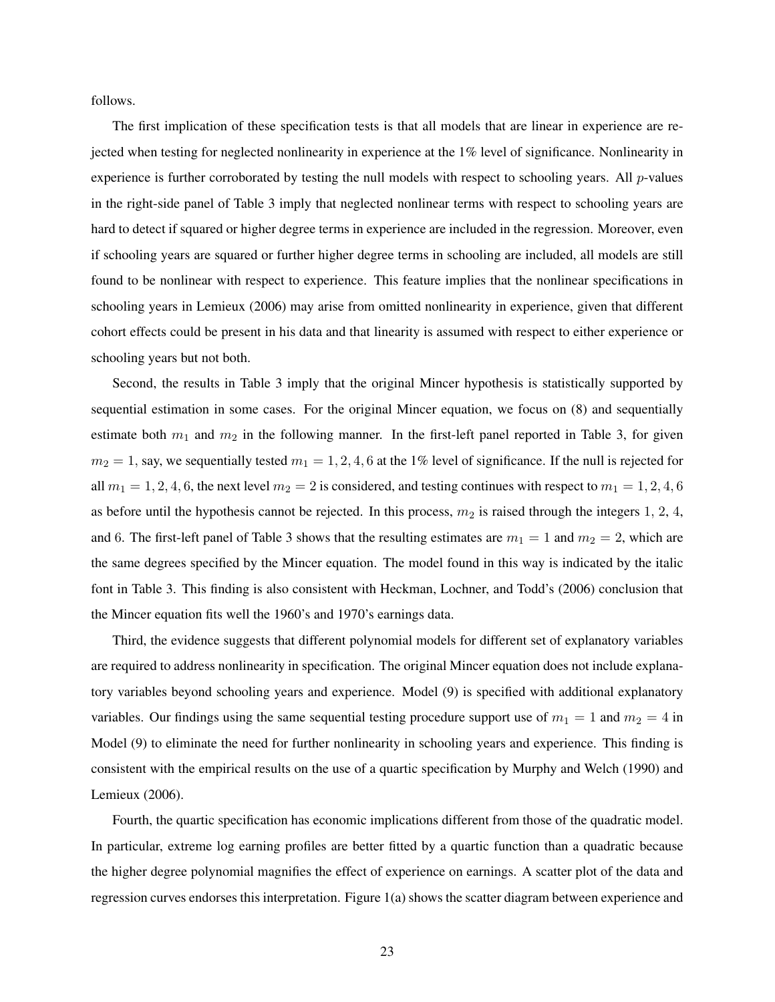follows.

The first implication of these specification tests is that all models that are linear in experience are rejected when testing for neglected nonlinearity in experience at the 1% level of significance. Nonlinearity in experience is further corroborated by testing the null models with respect to schooling years. All  $p$ -values in the right-side panel of Table 3 imply that neglected nonlinear terms with respect to schooling years are hard to detect if squared or higher degree terms in experience are included in the regression. Moreover, even if schooling years are squared or further higher degree terms in schooling are included, all models are still found to be nonlinear with respect to experience. This feature implies that the nonlinear specifications in schooling years in Lemieux (2006) may arise from omitted nonlinearity in experience, given that different cohort effects could be present in his data and that linearity is assumed with respect to either experience or schooling years but not both.

Second, the results in Table 3 imply that the original Mincer hypothesis is statistically supported by sequential estimation in some cases. For the original Mincer equation, we focus on (8) and sequentially estimate both  $m_1$  and  $m_2$  in the following manner. In the first-left panel reported in Table 3, for given  $m_2 = 1$ , say, we sequentially tested  $m_1 = 1, 2, 4, 6$  at the 1% level of significance. If the null is rejected for all  $m_1 = 1, 2, 4, 6$ , the next level  $m_2 = 2$  is considered, and testing continues with respect to  $m_1 = 1, 2, 4, 6$ as before until the hypothesis cannot be rejected. In this process,  $m_2$  is raised through the integers 1, 2, 4, and 6. The first-left panel of Table 3 shows that the resulting estimates are  $m_1 = 1$  and  $m_2 = 2$ , which are the same degrees specified by the Mincer equation. The model found in this way is indicated by the italic font in Table 3. This finding is also consistent with Heckman, Lochner, and Todd's (2006) conclusion that the Mincer equation fits well the 1960's and 1970's earnings data.

Third, the evidence suggests that different polynomial models for different set of explanatory variables are required to address nonlinearity in specification. The original Mincer equation does not include explanatory variables beyond schooling years and experience. Model (9) is specified with additional explanatory variables. Our findings using the same sequential testing procedure support use of  $m_1 = 1$  and  $m_2 = 4$  in Model (9) to eliminate the need for further nonlinearity in schooling years and experience. This finding is consistent with the empirical results on the use of a quartic specification by Murphy and Welch (1990) and Lemieux (2006).

Fourth, the quartic specification has economic implications different from those of the quadratic model. In particular, extreme log earning profiles are better fitted by a quartic function than a quadratic because the higher degree polynomial magnifies the effect of experience on earnings. A scatter plot of the data and regression curves endorses this interpretation. Figure 1(a) shows the scatter diagram between experience and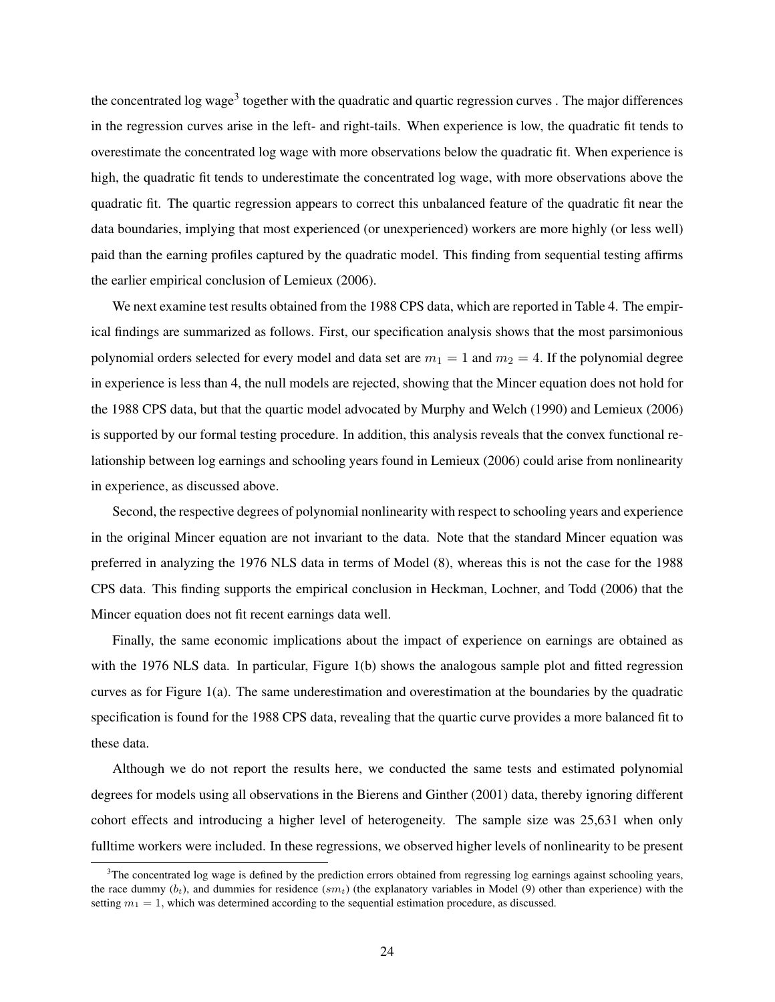the concentrated log wage<sup>3</sup> together with the quadratic and quartic regression curves. The major differences in the regression curves arise in the left- and right-tails. When experience is low, the quadratic fit tends to overestimate the concentrated log wage with more observations below the quadratic fit. When experience is high, the quadratic fit tends to underestimate the concentrated log wage, with more observations above the quadratic fit. The quartic regression appears to correct this unbalanced feature of the quadratic fit near the data boundaries, implying that most experienced (or unexperienced) workers are more highly (or less well) paid than the earning profiles captured by the quadratic model. This finding from sequential testing affirms the earlier empirical conclusion of Lemieux (2006).

We next examine test results obtained from the 1988 CPS data, which are reported in Table 4. The empirical findings are summarized as follows. First, our specification analysis shows that the most parsimonious polynomial orders selected for every model and data set are  $m_1 = 1$  and  $m_2 = 4$ . If the polynomial degree in experience is less than 4, the null models are rejected, showing that the Mincer equation does not hold for the 1988 CPS data, but that the quartic model advocated by Murphy and Welch (1990) and Lemieux (2006) is supported by our formal testing procedure. In addition, this analysis reveals that the convex functional relationship between log earnings and schooling years found in Lemieux (2006) could arise from nonlinearity in experience, as discussed above.

Second, the respective degrees of polynomial nonlinearity with respect to schooling years and experience in the original Mincer equation are not invariant to the data. Note that the standard Mincer equation was preferred in analyzing the 1976 NLS data in terms of Model (8), whereas this is not the case for the 1988 CPS data. This finding supports the empirical conclusion in Heckman, Lochner, and Todd (2006) that the Mincer equation does not fit recent earnings data well.

Finally, the same economic implications about the impact of experience on earnings are obtained as with the 1976 NLS data. In particular, Figure 1(b) shows the analogous sample plot and fitted regression curves as for Figure  $1(a)$ . The same underestimation and overestimation at the boundaries by the quadratic specification is found for the 1988 CPS data, revealing that the quartic curve provides a more balanced fit to these data.

Although we do not report the results here, we conducted the same tests and estimated polynomial degrees for models using all observations in the Bierens and Ginther (2001) data, thereby ignoring different cohort effects and introducing a higher level of heterogeneity. The sample size was 25,631 when only fulltime workers were included. In these regressions, we observed higher levels of nonlinearity to be present

 $3$ The concentrated log wage is defined by the prediction errors obtained from regressing log earnings against schooling years, the race dummy  $(b_t)$ , and dummies for residence  $(sm_t)$  (the explanatory variables in Model (9) other than experience) with the setting  $m_1 = 1$ , which was determined according to the sequential estimation procedure, as discussed.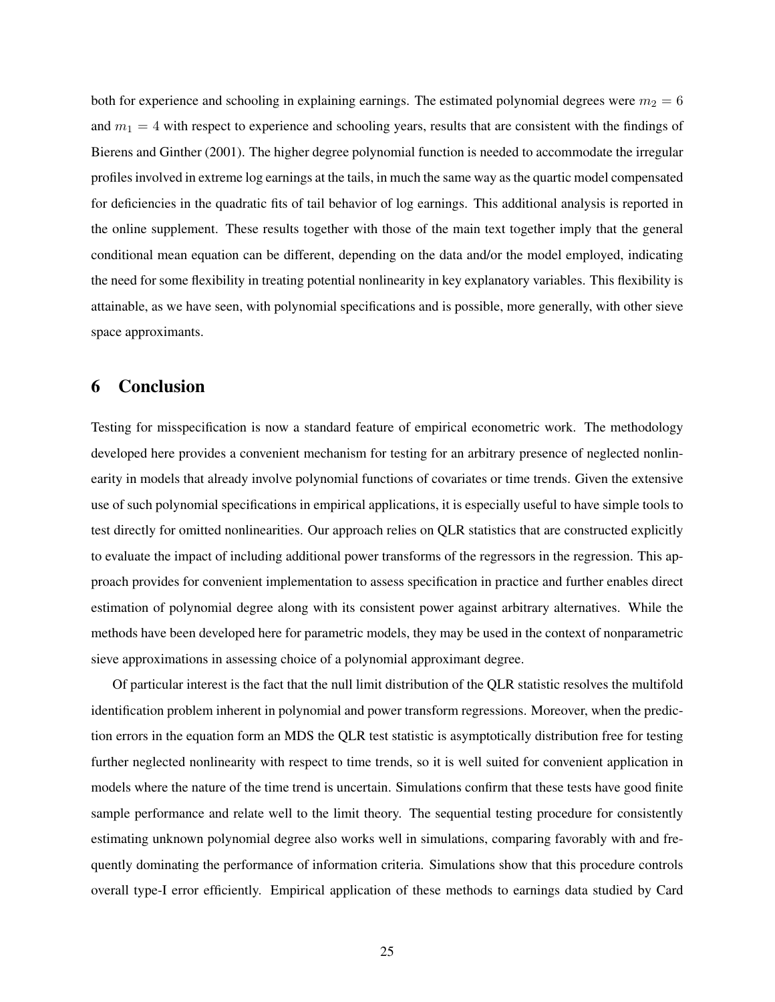both for experience and schooling in explaining earnings. The estimated polynomial degrees were  $m_2 = 6$ and  $m_1 = 4$  with respect to experience and schooling years, results that are consistent with the findings of Bierens and Ginther (2001). The higher degree polynomial function is needed to accommodate the irregular profiles involved in extreme log earnings at the tails, in much the same way as the quartic model compensated for deficiencies in the quadratic fits of tail behavior of log earnings. This additional analysis is reported in the online supplement. These results together with those of the main text together imply that the general conditional mean equation can be different, depending on the data and/or the model employed, indicating the need for some flexibility in treating potential nonlinearity in key explanatory variables. This flexibility is attainable, as we have seen, with polynomial specifications and is possible, more generally, with other sieve space approximants.

## 6 Conclusion

Testing for misspecification is now a standard feature of empirical econometric work. The methodology developed here provides a convenient mechanism for testing for an arbitrary presence of neglected nonlinearity in models that already involve polynomial functions of covariates or time trends. Given the extensive use of such polynomial specifications in empirical applications, it is especially useful to have simple tools to test directly for omitted nonlinearities. Our approach relies on QLR statistics that are constructed explicitly to evaluate the impact of including additional power transforms of the regressors in the regression. This approach provides for convenient implementation to assess specification in practice and further enables direct estimation of polynomial degree along with its consistent power against arbitrary alternatives. While the methods have been developed here for parametric models, they may be used in the context of nonparametric sieve approximations in assessing choice of a polynomial approximant degree.

Of particular interest is the fact that the null limit distribution of the QLR statistic resolves the multifold identification problem inherent in polynomial and power transform regressions. Moreover, when the prediction errors in the equation form an MDS the QLR test statistic is asymptotically distribution free for testing further neglected nonlinearity with respect to time trends, so it is well suited for convenient application in models where the nature of the time trend is uncertain. Simulations confirm that these tests have good finite sample performance and relate well to the limit theory. The sequential testing procedure for consistently estimating unknown polynomial degree also works well in simulations, comparing favorably with and frequently dominating the performance of information criteria. Simulations show that this procedure controls overall type-I error efficiently. Empirical application of these methods to earnings data studied by Card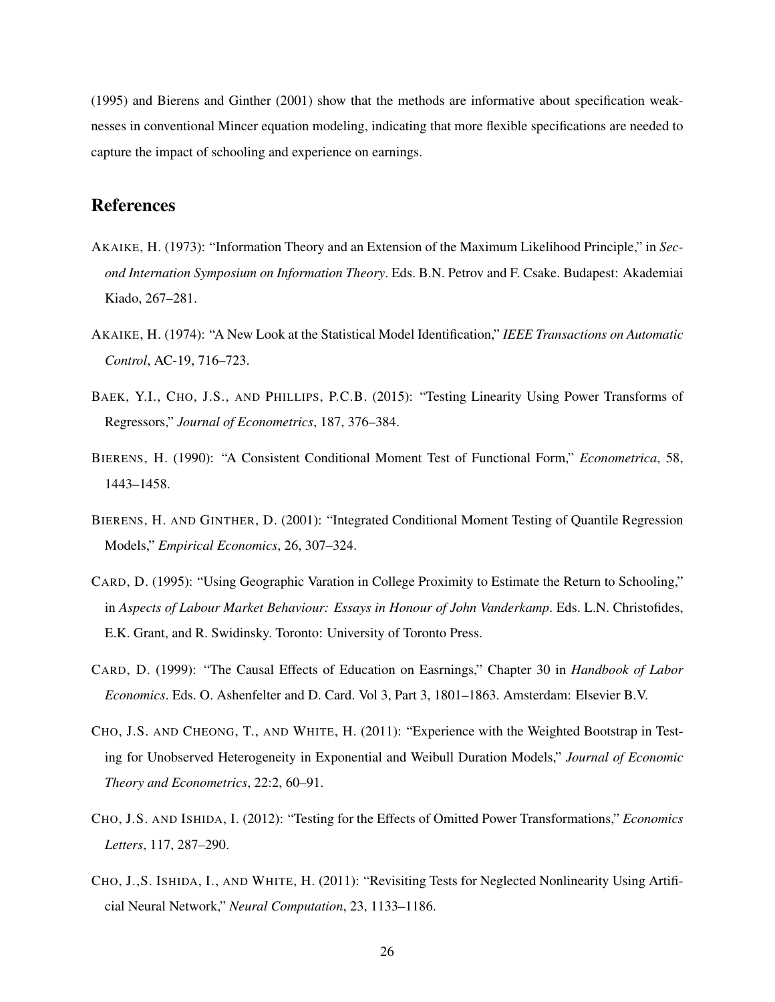(1995) and Bierens and Ginther (2001) show that the methods are informative about specification weaknesses in conventional Mincer equation modeling, indicating that more flexible specifications are needed to capture the impact of schooling and experience on earnings.

# References

- AKAIKE, H. (1973): "Information Theory and an Extension of the Maximum Likelihood Principle," in *Second Internation Symposium on Information Theory*. Eds. B.N. Petrov and F. Csake. Budapest: Akademiai Kiado, 267–281.
- AKAIKE, H. (1974): "A New Look at the Statistical Model Identification," *IEEE Transactions on Automatic Control*, AC-19, 716–723.
- BAEK, Y.I., CHO, J.S., AND PHILLIPS, P.C.B. (2015): "Testing Linearity Using Power Transforms of Regressors," *Journal of Econometrics*, 187, 376–384.
- BIERENS, H. (1990): "A Consistent Conditional Moment Test of Functional Form," *Econometrica*, 58, 1443–1458.
- BIERENS, H. AND GINTHER, D. (2001): "Integrated Conditional Moment Testing of Quantile Regression Models," *Empirical Economics*, 26, 307–324.
- CARD, D. (1995): "Using Geographic Varation in College Proximity to Estimate the Return to Schooling," in *Aspects of Labour Market Behaviour: Essays in Honour of John Vanderkamp*. Eds. L.N. Christofides, E.K. Grant, and R. Swidinsky. Toronto: University of Toronto Press.
- CARD, D. (1999): "The Causal Effects of Education on Easrnings," Chapter 30 in *Handbook of Labor Economics*. Eds. O. Ashenfelter and D. Card. Vol 3, Part 3, 1801–1863. Amsterdam: Elsevier B.V.
- CHO, J.S. AND CHEONG, T., AND WHITE, H. (2011): "Experience with the Weighted Bootstrap in Testing for Unobserved Heterogeneity in Exponential and Weibull Duration Models," *Journal of Economic Theory and Econometrics*, 22:2, 60–91.
- CHO, J.S. AND ISHIDA, I. (2012): "Testing for the Effects of Omitted Power Transformations," *Economics Letters*, 117, 287–290.
- CHO, J.,S. ISHIDA, I., AND WHITE, H. (2011): "Revisiting Tests for Neglected Nonlinearity Using Artificial Neural Network," *Neural Computation*, 23, 1133–1186.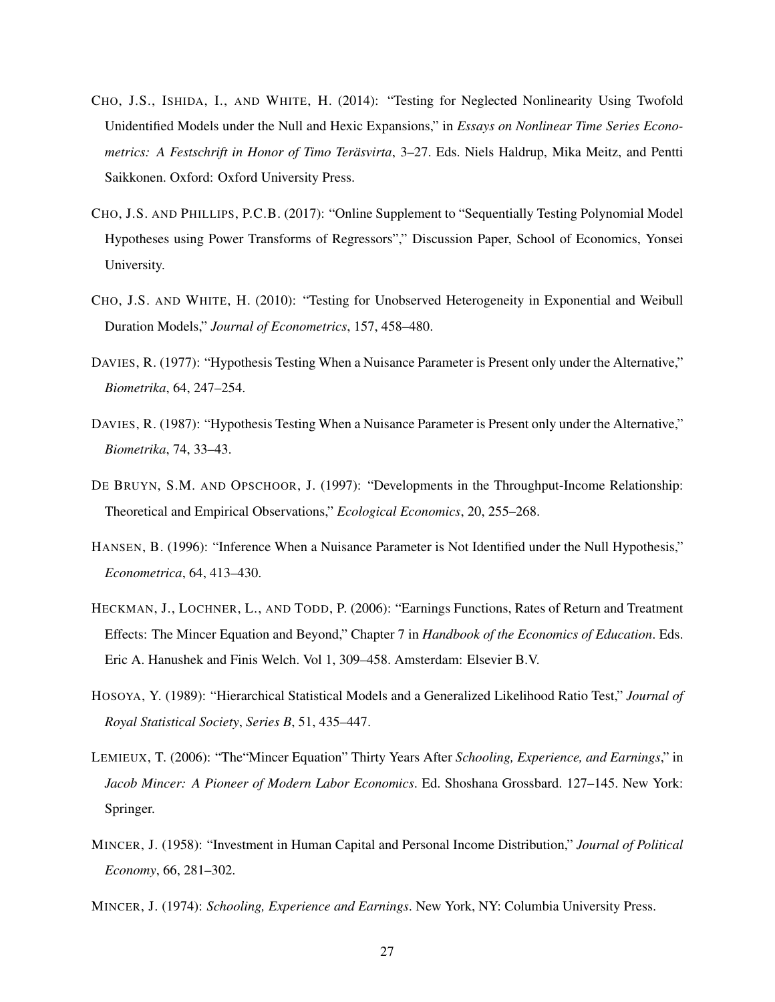- CHO, J.S., ISHIDA, I., AND WHITE, H. (2014): "Testing for Neglected Nonlinearity Using Twofold Unidentified Models under the Null and Hexic Expansions," in *Essays on Nonlinear Time Series Econometrics: A Festschrift in Honor of Timo Teräsvirta*, 3–27. Eds. Niels Haldrup, Mika Meitz, and Pentti Saikkonen. Oxford: Oxford University Press.
- CHO, J.S. AND PHILLIPS, P.C.B. (2017): "Online Supplement to "Sequentially Testing Polynomial Model Hypotheses using Power Transforms of Regressors"," Discussion Paper, School of Economics, Yonsei University.
- CHO, J.S. AND WHITE, H. (2010): "Testing for Unobserved Heterogeneity in Exponential and Weibull Duration Models," *Journal of Econometrics*, 157, 458–480.
- DAVIES, R. (1977): "Hypothesis Testing When a Nuisance Parameter is Present only under the Alternative," *Biometrika*, 64, 247–254.
- DAVIES, R. (1987): "Hypothesis Testing When a Nuisance Parameter is Present only under the Alternative," *Biometrika*, 74, 33–43.
- DE BRUYN, S.M. AND OPSCHOOR, J. (1997): "Developments in the Throughput-Income Relationship: Theoretical and Empirical Observations," *Ecological Economics*, 20, 255–268.
- HANSEN, B. (1996): "Inference When a Nuisance Parameter is Not Identified under the Null Hypothesis," *Econometrica*, 64, 413–430.
- HECKMAN, J., LOCHNER, L., AND TODD, P. (2006): "Earnings Functions, Rates of Return and Treatment Effects: The Mincer Equation and Beyond," Chapter 7 in *Handbook of the Economics of Education*. Eds. Eric A. Hanushek and Finis Welch. Vol 1, 309–458. Amsterdam: Elsevier B.V.
- HOSOYA, Y. (1989): "Hierarchical Statistical Models and a Generalized Likelihood Ratio Test," *Journal of Royal Statistical Society*, *Series B*, 51, 435–447.
- LEMIEUX, T. (2006): "The"Mincer Equation" Thirty Years After *Schooling, Experience, and Earnings*," in *Jacob Mincer: A Pioneer of Modern Labor Economics*. Ed. Shoshana Grossbard. 127–145. New York: Springer.
- MINCER, J. (1958): "Investment in Human Capital and Personal Income Distribution," *Journal of Political Economy*, 66, 281–302.
- MINCER, J. (1974): *Schooling, Experience and Earnings*. New York, NY: Columbia University Press.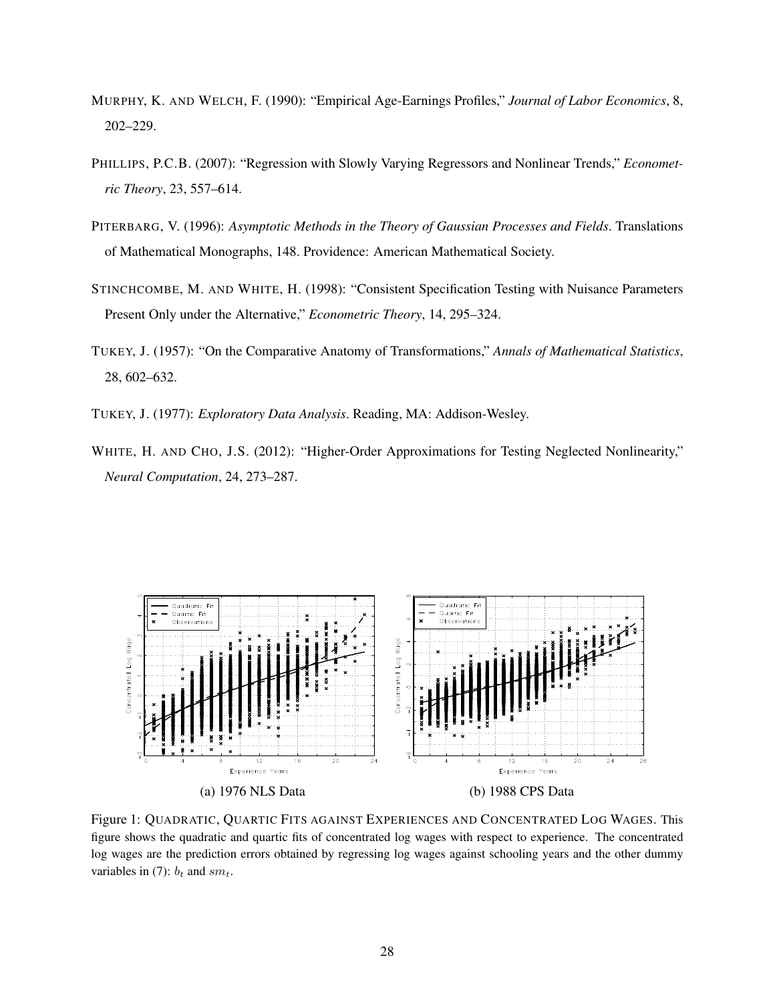- MURPHY, K. AND WELCH, F. (1990): "Empirical Age-Earnings Profiles," *Journal of Labor Economics*, 8, 202–229.
- PHILLIPS, P.C.B. (2007): "Regression with Slowly Varying Regressors and Nonlinear Trends," *Econometric Theory*, 23, 557–614.
- PITERBARG, V. (1996): *Asymptotic Methods in the Theory of Gaussian Processes and Fields*. Translations of Mathematical Monographs, 148. Providence: American Mathematical Society.
- STINCHCOMBE, M. AND WHITE, H. (1998): "Consistent Specification Testing with Nuisance Parameters Present Only under the Alternative," *Econometric Theory*, 14, 295–324.
- TUKEY, J. (1957): "On the Comparative Anatomy of Transformations," *Annals of Mathematical Statistics*, 28, 602–632.
- TUKEY, J. (1977): *Exploratory Data Analysis*. Reading, MA: Addison-Wesley.
- WHITE, H. AND CHO, J.S. (2012): "Higher-Order Approximations for Testing Neglected Nonlinearity," *Neural Computation*, 24, 273–287.



Figure 1: QUADRATIC, QUARTIC FITS AGAINST EXPERIENCES AND CONCENTRATED LOG WAGES. This figure shows the quadratic and quartic fits of concentrated log wages with respect to experience. The concentrated log wages are the prediction errors obtained by regressing log wages against schooling years and the other dummy variables in (7):  $b_t$  and  $sm_t$ .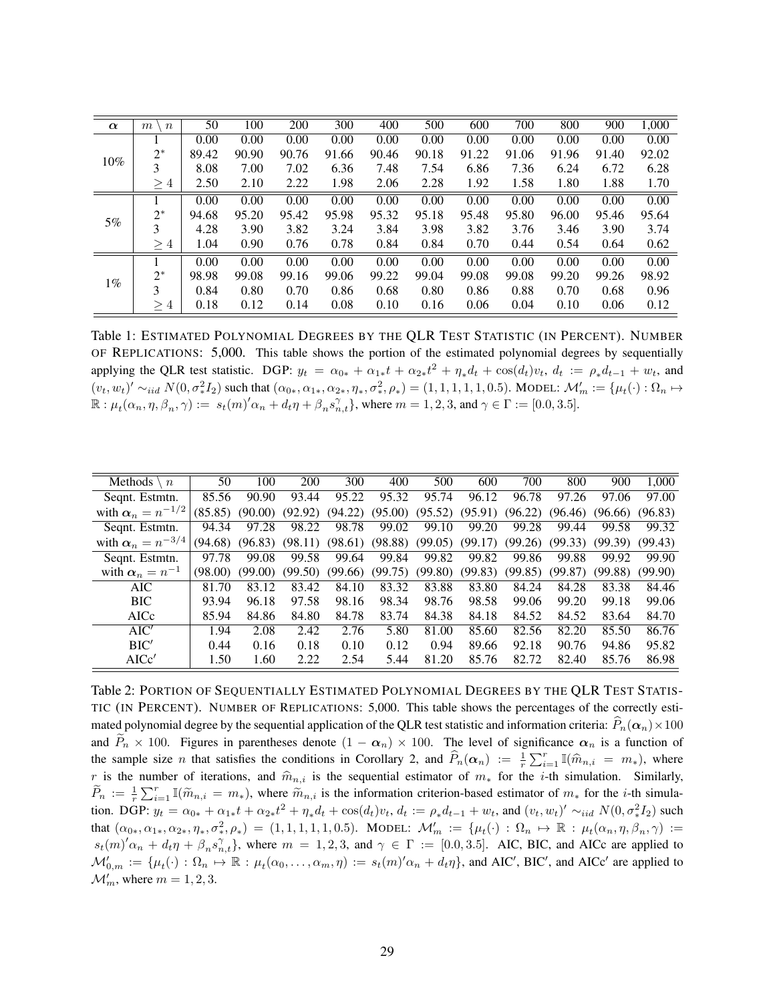| $\alpha$ | m<br>$\boldsymbol{n}$ | 50    | 100   | 200   | 300   | 400   | 500   | 600   | 700   | 800   | 900   | 1,000 |
|----------|-----------------------|-------|-------|-------|-------|-------|-------|-------|-------|-------|-------|-------|
| $10\%$   |                       | 0.00  | 0.00  | 0.00  | 0.00  | 0.00  | 0.00  | 0.00  | 0.00  | 0.00  | 0.00  | 0.00  |
|          | $2^*$                 | 89.42 | 90.90 | 90.76 | 91.66 | 90.46 | 90.18 | 91.22 | 91.06 | 91.96 | 91.40 | 92.02 |
|          | 3                     | 8.08  | 7.00  | 7.02  | 6.36  | 7.48  | 7.54  | 6.86  | 7.36  | 6.24  | 6.72  | 6.28  |
|          | $\geq 4$              | 2.50  | 2.10  | 2.22  | 1.98  | 2.06  | 2.28  | 1.92  | 1.58  | 1.80  | 1.88  | 1.70  |
|          |                       | 0.00  | 0.00  | 0.00  | 0.00  | 0.00  | 0.00  | 0.00  | 0.00  | 0.00  | 0.00  | 0.00  |
|          | $2^*$                 | 94.68 | 95.20 | 95.42 | 95.98 | 95.32 | 95.18 | 95.48 | 95.80 | 96.00 | 95.46 | 95.64 |
| 5%       | 3                     | 4.28  | 3.90  | 3.82  | 3.24  | 3.84  | 3.98  | 3.82  | 3.76  | 3.46  | 3.90  | 3.74  |
|          | $\geq 4$              | 1.04  | 0.90  | 0.76  | 0.78  | 0.84  | 0.84  | 0.70  | 0.44  | 0.54  | 0.64  | 0.62  |
| $1\%$    |                       | 0.00  | 0.00  | 0.00  | 0.00  | 0.00  | 0.00  | 0.00  | 0.00  | 0.00  | 0.00  | 0.00  |
|          | $2^*$                 | 98.98 | 99.08 | 99.16 | 99.06 | 99.22 | 99.04 | 99.08 | 99.08 | 99.20 | 99.26 | 98.92 |
|          | 3                     | 0.84  | 0.80  | 0.70  | 0.86  | 0.68  | 0.80  | 0.86  | 0.88  | 0.70  | 0.68  | 0.96  |
|          | $\geq 4$              | 0.18  | 0.12  | 0.14  | 0.08  | 0.10  | 0.16  | 0.06  | 0.04  | 0.10  | 0.06  | 0.12  |

Table 1: ESTIMATED POLYNOMIAL DEGREES BY THE QLR TEST STATISTIC (IN PERCENT). NUMBER OF REPLICATIONS: 5,000. This table shows the portion of the estimated polynomial degrees by sequentially applying the QLR test statistic. DGP:  $y_t = \alpha_{0*} + \alpha_{1*}t + \alpha_{2*}t^2 + \eta_*d_t + \cos(d_t)v_t$ ,  $d_t := \rho_*d_{t-1} + w_t$ , and  $(v_t, w_t)' \sim_{iid} N(0, \sigma^2_* I_2)$  such that  $(\alpha_{0*}, \alpha_{1*}, \alpha_{2*}, \eta_*, \sigma^2_*, \rho_*) = (1, 1, 1, 1, 1, 0.5)$ . MODEL:  $\mathcal{M}'_m := \{\mu_t(\cdot) : \Omega_n \mapsto \Omega_m\}$  $\mathbb{R}: \mu_t(\alpha_n, \eta, \beta_n, \gamma) := s_t(m)'\alpha_n + d_t\eta + \beta_n s_{n,t}^{\gamma}$ , where  $m = 1, 2, 3$ , and  $\gamma \in \Gamma := [0.0, 3.5]$ .

| <b>Methods</b><br>$\boldsymbol{n}$ | 50      | 100     | 200     | 300     | 400     | 500     | 600     | 700     | 800     | 900     | 1,000   |
|------------------------------------|---------|---------|---------|---------|---------|---------|---------|---------|---------|---------|---------|
| Seqnt. Estmtn.                     | 85.56   | 90.90   | 93.44   | 95.22   | 95.32   | 95.74   | 96.12   | 96.78   | 97.26   | 97.06   | 97.00   |
| with $\alpha_n = n^{-1/2}$         | (85.85) | (90.00) | (92.92) | (94.22) | (95.00) | (95.52) | (95.91) | (96.22) | (96.46) | (96.66) | (96.83) |
| Seqnt. Estmtn.                     | 94.34   | 97.28   | 98.22   | 98.78   | 99.02   | 99.10   | 99.20   | 99.28   | 99.44   | 99.58   | 99.32   |
| with $\alpha_n = n^{-3/4}$         | (94.68) | (96.83) | (98.11) | (98.61) | (98.88) | (99.05) | (99.17) | (99.26) | (99.33) | (99.39) | (99.43) |
| Seqnt. Estmtn.                     | 97.78   | 99.08   | 99.58   | 99.64   | 99.84   | 99.82   | 99.82   | 99.86   | 99.88   | 99.92   | 99.90   |
| with $\alpha_n = n^{-1}$           | (98.00) | (99.00) | (99.50) | (99.66) | (99.75) | (99.80) | (99.83) | (99.85) | (99.87) | (99.88) | (99.90) |
| <b>AIC</b>                         | 81.70   | 83.12   | 83.42   | 84.10   | 83.32   | 83.88   | 83.80   | 84.24   | 84.28   | 83.38   | 84.46   |
| <b>BIC</b>                         | 93.94   | 96.18   | 97.58   | 98.16   | 98.34   | 98.76   | 98.58   | 99.06   | 99.20   | 99.18   | 99.06   |
| <b>AICc</b>                        | 85.94   | 84.86   | 84.80   | 84.78   | 83.74   | 84.38   | 84.18   | 84.52   | 84.52   | 83.64   | 84.70   |
| AIC'                               | 1.94    | 2.08    | 2.42    | 2.76    | 5.80    | 81.00   | 85.60   | 82.56   | 82.20   | 85.50   | 86.76   |
| BIC'                               | 0.44    | 0.16    | 0.18    | 0.10    | 0.12    | 0.94    | 89.66   | 92.18   | 90.76   | 94.86   | 95.82   |
| AICc'                              | 1.50    | 1.60    | 2.22    | 2.54    | 5.44    | 81.20   | 85.76   | 82.72   | 82.40   | 85.76   | 86.98   |

Table 2: PORTION OF SEQUENTIALLY ESTIMATED POLYNOMIAL DEGREES BY THE QLR TEST STATIS-TIC (IN PERCENT). NUMBER OF REPLICATIONS: 5,000. This table shows the percentages of the correctly estimated polynomial degree by the sequential application of the QLR test statistic and information criteria:  $P_n(\alpha_n)\times 100$ and  $P_n \times 100$ . Figures in parentheses denote  $(1 - \alpha_n) \times 100$ . The level of significance  $\alpha_n$  is a function of the sample size *n* that satisfies the conditions in Corollary 2, and  $\hat{P}_n(\alpha_n) := \frac{1}{r} \sum_{i=1}^r \mathbb{I}(\hat{m}_{n,i} = m_*)$ , where r is the number of iterations, and  $\hat{m}_{n,i}$  is the sequential estimator of  $m_*$  for the i-th simulation. Similarly,  $\widetilde{P}_n := \frac{1}{r} \sum_{i=1}^r \mathbb{I}(\widetilde{m}_{n,i} = m_*)$ , where  $\widetilde{m}_{n,i}$  is the information criterion-based estimator of  $m_*$  for the *i*-th simulation. DGP:  $y_t = \alpha_{0*} + \alpha_{1*}t + \alpha_{2*}t^2 + \eta_*d_t + \cos(d_t)v_t$ ,  $d_t := \rho_*d_{t-1} + w_t$ , and  $(v_t, w_t)' \sim_{iid} N(0, \sigma_*^2 I_2)$  such that  $(\alpha_{0*}, \alpha_{1*}, \alpha_{2*}, \eta_*, \sigma_*^2, \rho_*)$  = (1, 1, 1, 1, 1, 0.5). MODEL:  $\mathcal{M}'_m := \{\mu_t(\cdot) : \Omega_n \mapsto \mathbb{R} : \mu_t(\alpha_n, \eta, \beta_n, \gamma) :=$  $s_t(m)'\alpha_n + d_t\eta + \beta_n s_{n,t}^{\gamma}$ , where  $m = 1, 2, 3$ , and  $\gamma \in \Gamma := [0.0, 3.5]$ . AIC, BIC, and AICc are applied to  $\mathcal{M}'_{0,m} := \{\mu_t(\cdot) : \Omega_n \mapsto \mathbb{R} : \mu_t(\alpha_0, \dots, \alpha_m, \eta) := s_t(m)'\alpha_n + d_t\eta\}$ , and AIC', BIC', and AICc' are applied to  $\mathcal{M}'_m$ , where  $m = 1, 2, 3$ .